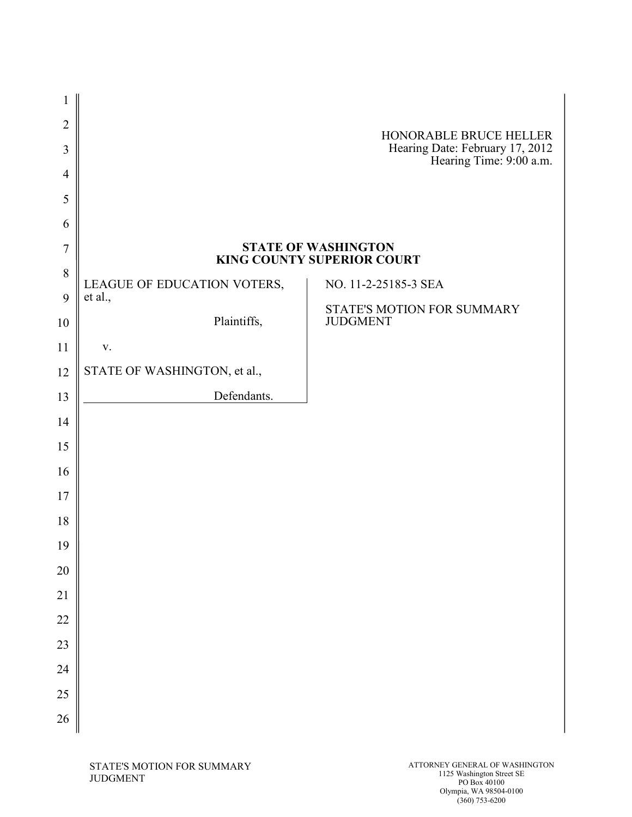| $\overline{2}$      |                              | HONORABLE BRUCE HELLER                                     |
|---------------------|------------------------------|------------------------------------------------------------|
| 3<br>$\overline{4}$ |                              | Hearing Date: February 17, 2012<br>Hearing Time: 9:00 a.m. |
| 5                   |                              |                                                            |
| 6                   |                              |                                                            |
| $\overline{7}$      |                              | <b>STATE OF WASHINGTON</b><br>KING COUNTY SUPERIOR COURT   |
| 8                   | LEAGUE OF EDUCATION VOTERS,  | NO. 11-2-25185-3 SEA                                       |
| 9<br>10             | et al.,<br>Plaintiffs,       | STATE'S MOTION FOR SUMMARY<br><b>JUDGMENT</b>              |
| 11                  | V.                           |                                                            |
| 12                  | STATE OF WASHINGTON, et al., |                                                            |
| 13                  | Defendants.                  |                                                            |
| 14                  |                              |                                                            |
| 15                  |                              |                                                            |
| 16                  |                              |                                                            |
| 17                  |                              |                                                            |
| 18                  |                              |                                                            |
| 19                  |                              |                                                            |
| 20                  |                              |                                                            |
| 21                  |                              |                                                            |
| 22                  |                              |                                                            |
| 23                  |                              |                                                            |
| 24                  |                              |                                                            |
| 25                  |                              |                                                            |
| 26                  |                              |                                                            |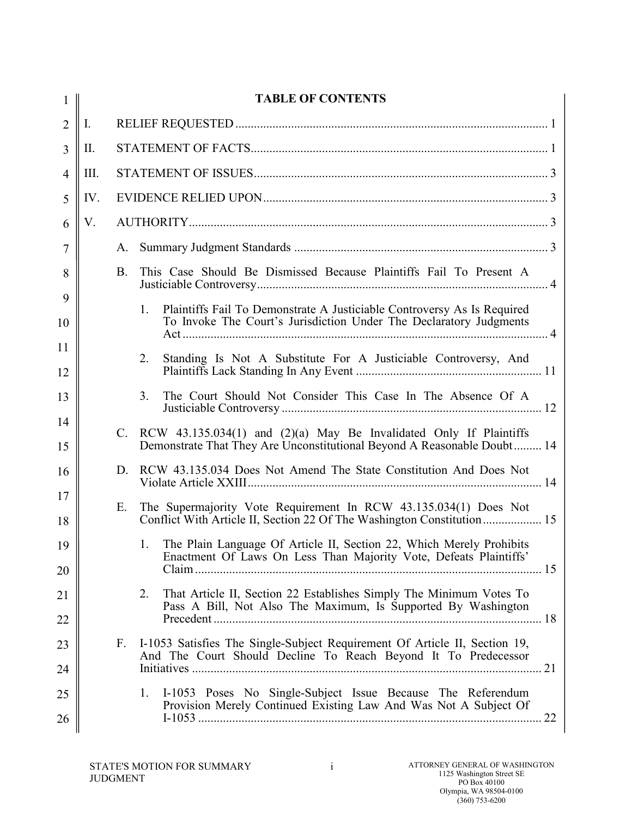| 1              |                | <b>TABLE OF CONTENTS</b> |                                                                                                                                                     |  |
|----------------|----------------|--------------------------|-----------------------------------------------------------------------------------------------------------------------------------------------------|--|
| $\overline{2}$ | $\mathbf{I}$ . |                          |                                                                                                                                                     |  |
| 3              | II.            |                          |                                                                                                                                                     |  |
| 4              | III.           |                          |                                                                                                                                                     |  |
| 5              | IV.            |                          |                                                                                                                                                     |  |
| 6              | V.             |                          |                                                                                                                                                     |  |
| 7              |                | А.                       |                                                                                                                                                     |  |
| 8              |                | B.                       | This Case Should Be Dismissed Because Plaintiffs Fail To Present A                                                                                  |  |
| 9<br>10        |                |                          | 1.<br>Plaintiffs Fail To Demonstrate A Justiciable Controversy As Is Required<br>To Invoke The Court's Jurisdiction Under The Declaratory Judgments |  |
| 11             |                |                          |                                                                                                                                                     |  |
| 12             |                |                          | 2.<br>Standing Is Not A Substitute For A Justiciable Controversy, And                                                                               |  |
| 13             |                |                          | The Court Should Not Consider This Case In The Absence Of A<br>3.                                                                                   |  |
| 14<br>15       |                | $\mathcal{C}$ .          | RCW $43.135.034(1)$ and $(2)(a)$ May Be Invalidated Only If Plaintiffs<br>Demonstrate That They Are Unconstitutional Beyond A Reasonable Doubt 14   |  |
| 16             |                | D.                       | RCW 43.135.034 Does Not Amend The State Constitution And Does Not                                                                                   |  |
| 17<br>18       |                | Е.                       | The Supermajority Vote Requirement In RCW 43.135.034(1) Does Not<br>Conflict With Article II, Section 22 Of The Washington Constitution 15          |  |
| 19             |                |                          | The Plain Language Of Article II, Section 22, Which Merely Prohibits<br>$\mathbf{1}$ .                                                              |  |
| 20             |                |                          | Enactment Of Laws On Less Than Majority Vote, Defeats Plaintiffs'                                                                                   |  |
| 21             |                |                          | That Article II, Section 22 Establishes Simply The Minimum Votes To<br>2.<br>Pass A Bill, Not Also The Maximum, Is Supported By Washington          |  |
| 22             |                |                          |                                                                                                                                                     |  |
| 23             |                | $F_{\cdot}$              | I-1053 Satisfies The Single-Subject Requirement Of Article II, Section 19,<br>And The Court Should Decline To Reach Beyond It To Predecessor        |  |
| 24             |                |                          |                                                                                                                                                     |  |
| 25<br>26       |                |                          | I-1053 Poses No Single-Subject Issue Because The Referendum<br>1.<br>Provision Merely Continued Existing Law And Was Not A Subject Of               |  |
|                |                |                          |                                                                                                                                                     |  |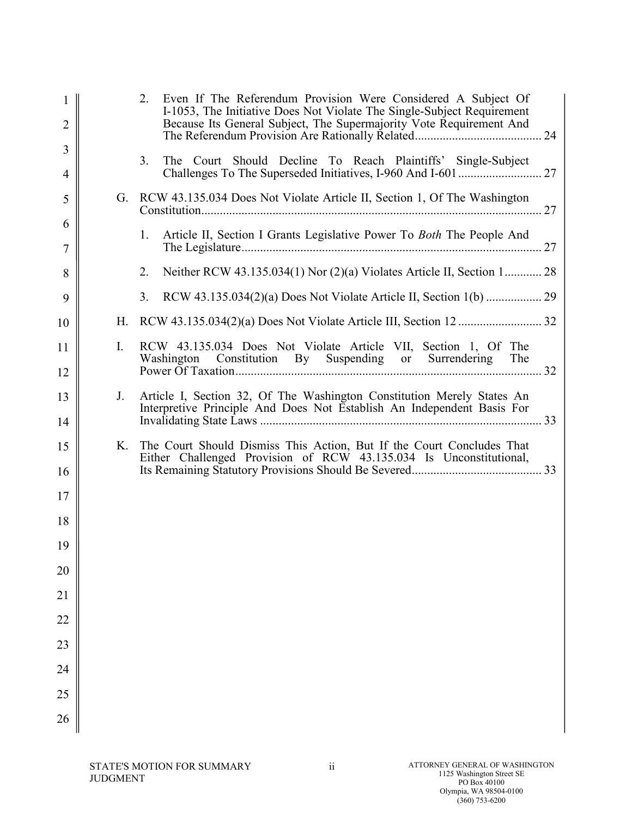| 1<br>$\overline{2}$ |                | 2.<br>Even If The Referendum Provision Were Considered A Subject Of<br>I-1053, The Initiative Does Not Violate The Single-Subject Requirement<br>Because Its General Subject, The Supermajority Vote Requirement And |  |
|---------------------|----------------|----------------------------------------------------------------------------------------------------------------------------------------------------------------------------------------------------------------------|--|
| 3                   |                |                                                                                                                                                                                                                      |  |
| 4                   |                | The Court Should Decline To Reach Plaintiffs' Single-Subject<br>3.                                                                                                                                                   |  |
| 5                   |                | G. RCW 43.135.034 Does Not Violate Article II, Section 1, Of The Washington                                                                                                                                          |  |
| 6<br>7              |                | Article II, Section I Grants Legislative Power To <i>Both</i> The People And<br>1.                                                                                                                                   |  |
| 8                   |                | Neither RCW 43.135.034(1) Nor (2)(a) Violates Article II, Section 1 28<br>2.                                                                                                                                         |  |
| 9                   |                | 3.                                                                                                                                                                                                                   |  |
| 10                  | Н.             |                                                                                                                                                                                                                      |  |
| 11                  | $\mathbf{I}$ . | RCW 43.135.034 Does Not Violate Article VII, Section 1, Of The<br>Washington Constitution By Suspending or Surrendering The                                                                                          |  |
| 12                  |                |                                                                                                                                                                                                                      |  |
| 13                  | J.             | Article I, Section 32, Of The Washington Constitution Merely States An<br>Interpretive Principle And Does Not Establish An Independent Basis For                                                                     |  |
| 14                  |                |                                                                                                                                                                                                                      |  |
| 15                  | K.             | The Court Should Dismiss This Action, But If the Court Concludes That<br>Either Challenged Provision of RCW 43.135.034 Is Unconstitutional,                                                                          |  |
| 16                  |                |                                                                                                                                                                                                                      |  |
| 17<br>18            |                |                                                                                                                                                                                                                      |  |
| 19                  |                |                                                                                                                                                                                                                      |  |
| 20                  |                |                                                                                                                                                                                                                      |  |
|                     |                |                                                                                                                                                                                                                      |  |
| 21                  |                |                                                                                                                                                                                                                      |  |
| 22                  |                |                                                                                                                                                                                                                      |  |
| 23                  |                |                                                                                                                                                                                                                      |  |
| 24                  |                |                                                                                                                                                                                                                      |  |
| 25                  |                |                                                                                                                                                                                                                      |  |
| 26                  |                |                                                                                                                                                                                                                      |  |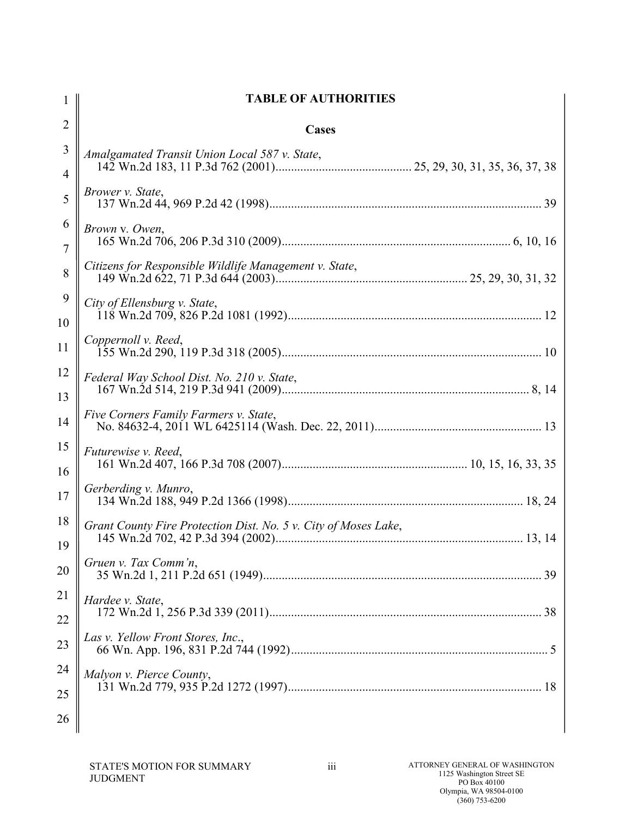| 1                   | <b>TABLE OF AUTHORITIES</b>                                     |
|---------------------|-----------------------------------------------------------------|
| $\overline{2}$      | Cases                                                           |
| 3<br>$\overline{4}$ | Amalgamated Transit Union Local 587 v. State,                   |
| 5                   | Brower v. State,                                                |
| 6                   | Brown v. Owen,                                                  |
| $\overline{7}$<br>8 | Citizens for Responsible Wildlife Management v. State,          |
| 9                   | City of Ellensburg v. State,                                    |
| 10<br>11            | Coppernoll v. Reed,                                             |
| 12<br>13            | Federal Way School Dist. No. 210 v. State,                      |
| 14                  | Five Corners Family Farmers v. State,                           |
| 15<br>16            | <i>Futurewise v. Reed,</i>                                      |
| 17                  | Gerberding v. Munro,                                            |
| 18<br>19            | Grant County Fire Protection Dist. No. 5 v. City of Moses Lake, |
| 20                  | Gruen v. Tax Comm'n,                                            |
| 21<br>22            | Hardee v. State,                                                |
| 23                  | Las v. Yellow Front Stores, Inc.,                               |
| 24<br>25            | Malyon v. Pierce County,                                        |
| 26                  |                                                                 |
|                     |                                                                 |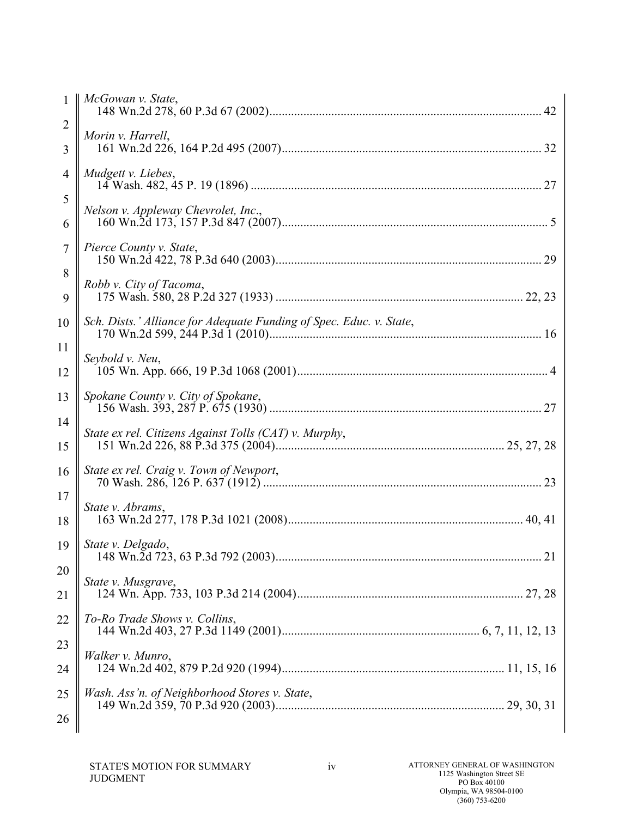|                     | McGowan v. State,                                                   |
|---------------------|---------------------------------------------------------------------|
| $\overline{2}$<br>3 | Morin v. Harrell,                                                   |
| 4                   | Mudgett v. Liebes,                                                  |
| 5                   | Nelson v. Appleway Chevrolet, Inc.,                                 |
| 6                   |                                                                     |
| 7<br>8              | Pierce County v. State,                                             |
| 9                   | Robb v. City of Tacoma,                                             |
| 10                  | Sch. Dists.' Alliance for Adequate Funding of Spec. Educ. v. State, |
| 11<br>12            | Seybold v. Neu,                                                     |
| 13                  | Spokane County v. City of Spokane,                                  |
| 14<br>15            | State ex rel. Citizens Against Tolls (CAT) v. Murphy,               |
| 16                  | State ex rel. Craig v. Town of Newport,                             |
| 17<br>18            | State v. Abrams,                                                    |
| 19                  | State v. Delgado,                                                   |
| 20<br>21            | State v. Musgrave,                                                  |
| 22                  | To-Ro Trade Shows v. Collins,                                       |
| 23                  | Walker v. Munro,                                                    |
| 24                  |                                                                     |
| 25<br>26            | Wash. Ass'n. of Neighborhood Stores v. State,                       |
|                     |                                                                     |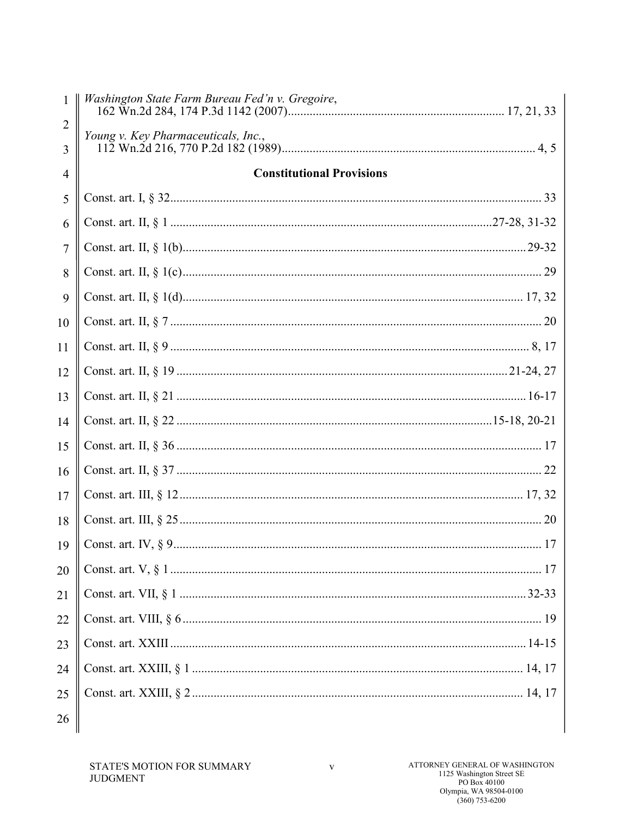|        | Washington State Farm Bureau Fed'n v. Gregoire, |  |
|--------|-------------------------------------------------|--|
| 2<br>3 | Young v. Key Pharmaceuticals, Inc.,             |  |
| 4      | <b>Constitutional Provisions</b>                |  |
| 5      |                                                 |  |
| 6      |                                                 |  |
| 7      |                                                 |  |
| 8      |                                                 |  |
| 9      |                                                 |  |
| 10     |                                                 |  |
| 11     |                                                 |  |
| 12     |                                                 |  |
| 13     |                                                 |  |
| 14     |                                                 |  |
| 15     |                                                 |  |
| 16     |                                                 |  |
| 17     |                                                 |  |
| 18     |                                                 |  |
| 19     |                                                 |  |
| 20     |                                                 |  |
| 21     |                                                 |  |
| 22     |                                                 |  |
| 23     |                                                 |  |
| 24     |                                                 |  |
| 25     |                                                 |  |
| 26     |                                                 |  |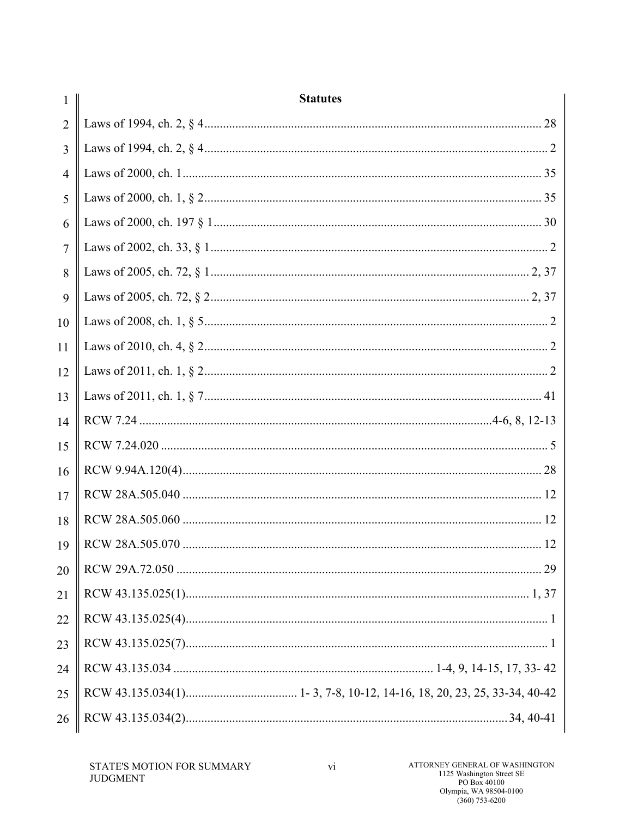| 1              | <b>Statutes</b> |
|----------------|-----------------|
| $\overline{2}$ |                 |
| 3              |                 |
| $\overline{4}$ |                 |
| 5              |                 |
| 6              |                 |
| $\overline{7}$ |                 |
| 8              |                 |
| 9              |                 |
| 10             |                 |
| 11             |                 |
| 12             |                 |
| 13             |                 |
| 14             |                 |
| 15             |                 |
| 16             |                 |
| 17             |                 |
| 18             |                 |
| 19             |                 |
| 20             |                 |
| 21             |                 |
| 22             |                 |
| 23             |                 |
| 24             |                 |
| 25             |                 |
| 26             |                 |
|                |                 |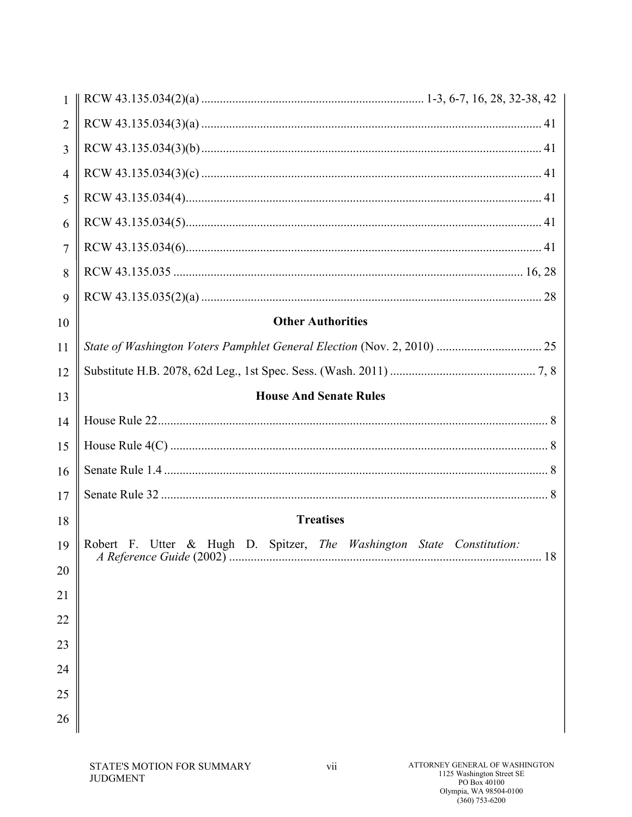| $\mathbf{1}$   |                                                                                      |
|----------------|--------------------------------------------------------------------------------------|
| $\overline{2}$ |                                                                                      |
| $\overline{3}$ |                                                                                      |
| $\overline{4}$ |                                                                                      |
| 5              |                                                                                      |
| 6              |                                                                                      |
| $\overline{7}$ |                                                                                      |
| 8              |                                                                                      |
| 9              |                                                                                      |
| 10             | <b>Other Authorities</b>                                                             |
| 11             | State of Washington Voters Pamphlet General Election (Nov. 2, 2010)  25              |
| 12             |                                                                                      |
| 13             | <b>House And Senate Rules</b>                                                        |
| 14             |                                                                                      |
| 15             |                                                                                      |
| 16             |                                                                                      |
| 17             |                                                                                      |
| 18             | <b>Treatises</b>                                                                     |
| 19             | Robert F. Utter & Hugh D. Spitzer, The Washington State Constitution:<br>$\ldots$ 18 |
| 20             |                                                                                      |
| 21             |                                                                                      |
| 22             |                                                                                      |
| 23             |                                                                                      |
| 24             |                                                                                      |
| 25             |                                                                                      |
| 26             |                                                                                      |
|                |                                                                                      |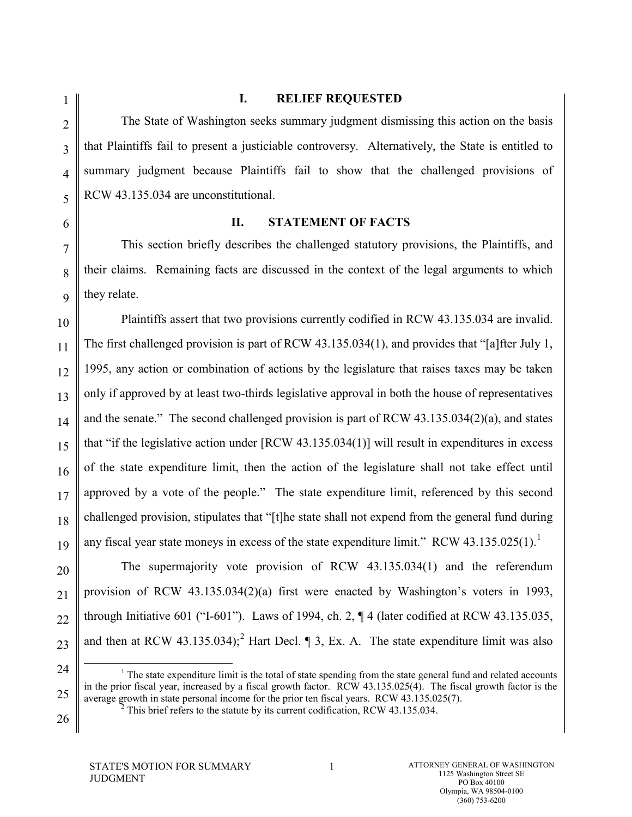#### **I. RELIEF REQUESTED**

The State of Washington seeks summary judgment dismissing this action on the basis that Plaintiffs fail to present a justiciable controversy. Alternatively, the State is entitled to summary judgment because Plaintiffs fail to show that the challenged provisions of RCW 43.135.034 are unconstitutional.

1

#### **II. STATEMENT OF FACTS**

This section briefly describes the challenged statutory provisions, the Plaintiffs, and their claims. Remaining facts are discussed in the context of the legal arguments to which they relate.

Plaintiffs assert that two provisions currently codified in RCW 43.135.034 are invalid. The first challenged provision is part of RCW 43.135.034(1), and provides that "[a]fter July 1, 1995, any action or combination of actions by the legislature that raises taxes may be taken only if approved by at least two-thirds legislative approval in both the house of representatives and the senate." The second challenged provision is part of RCW 43.135.034(2)(a), and states that "if the legislative action under [RCW 43.135.034(1)] will result in expenditures in excess of the state expenditure limit, then the action of the legislature shall not take effect until approved by a vote of the people." The state expenditure limit, referenced by this second challenged provision, stipulates that "[t]he state shall not expend from the general fund during any fiscal year state moneys in excess of the state expenditure limit." RCW 43.[1](#page-8-0)35.025(1).<sup>1</sup>

The supermajority vote provision of RCW 43.135.034(1) and the referendum provision of RCW 43.135.034(2)(a) first were enacted by Washington's voters in 1993, through Initiative 601 ("I-601"). Laws of 1994, ch. 2, ¶ 4 (later codified at RCW 43.135.035, and then at RCW 43.135.034);<sup>[2](#page-9-0)</sup> Hart Decl.  $\parallel$  3, Ex. A. The state expenditure limit was also

<span id="page-8-0"></span><sup>25</sup>  $<sup>1</sup>$  The state expenditure limit is the total of state spending from the state general fund and related accounts</sup> in the prior fiscal year, increased by a fiscal growth factor. RCW 43.135.025(4). The fiscal growth factor is the average growth in state personal income for the prior ten fiscal years. RCW 43.135.025(7).

This brief refers to the statute by its current codification, RCW 43.135.034.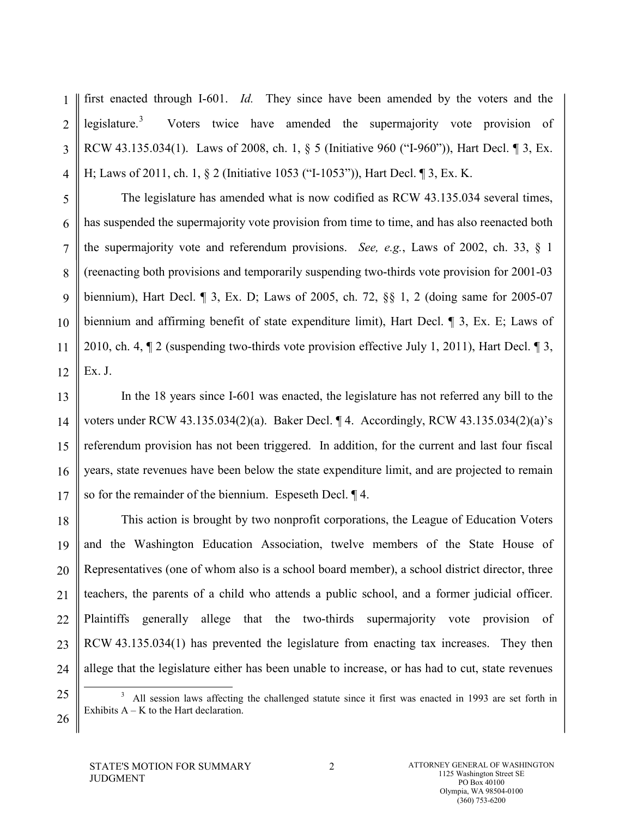1 2 3 4 first enacted through I-601. *Id.* They since have been amended by the voters and the legislature.<sup>[3](#page-9-1)</sup> Voters twice have amended the supermajority vote provision of RCW 43.135.034(1). Laws of 2008, ch. 1, § 5 (Initiative 960 ("I-960")), Hart Decl. ¶ 3, Ex. H; Laws of 2011, ch. 1, § 2 (Initiative 1053 ("I-1053")), Hart Decl. ¶ 3, Ex. K.

5 6 7 8 9 10 11 12 The legislature has amended what is now codified as RCW 43.135.034 several times, has suspended the supermajority vote provision from time to time, and has also reenacted both the supermajority vote and referendum provisions. *See, e.g.*, Laws of 2002, ch. 33, § 1 (reenacting both provisions and temporarily suspending two-thirds vote provision for 2001-03 biennium), Hart Decl. ¶ 3, Ex. D; Laws of 2005, ch. 72, §§ 1, 2 (doing same for 2005-07 biennium and affirming benefit of state expenditure limit), Hart Decl. ¶ 3, Ex. E; Laws of 2010, ch. 4, ¶ 2 (suspending two-thirds vote provision effective July 1, 2011), Hart Decl. ¶ 3, Ex. J.

13 14 15 16 17 In the 18 years since I-601 was enacted, the legislature has not referred any bill to the voters under RCW 43.135.034(2)(a). Baker Decl. ¶ 4. Accordingly, RCW 43.135.034(2)(a)'s referendum provision has not been triggered. In addition, for the current and last four fiscal years, state revenues have been below the state expenditure limit, and are projected to remain so for the remainder of the biennium. Espeseth Decl. ¶ 4.

18 19 20 21 22 23 24 This action is brought by two nonprofit corporations, the League of Education Voters and the Washington Education Association, twelve members of the State House of Representatives (one of whom also is a school board member), a school district director, three teachers, the parents of a child who attends a public school, and a former judicial officer. Plaintiffs generally allege that the two-thirds supermajority vote provision of RCW 43.135.034(1) has prevented the legislature from enacting tax increases. They then allege that the legislature either has been unable to increase, or has had to cut, state revenues

<span id="page-9-1"></span><span id="page-9-0"></span>25

 $\frac{1}{3}$  All session laws affecting the challenged statute since it first was enacted in 1993 are set forth in Exhibits  $A - K$  to the Hart declaration.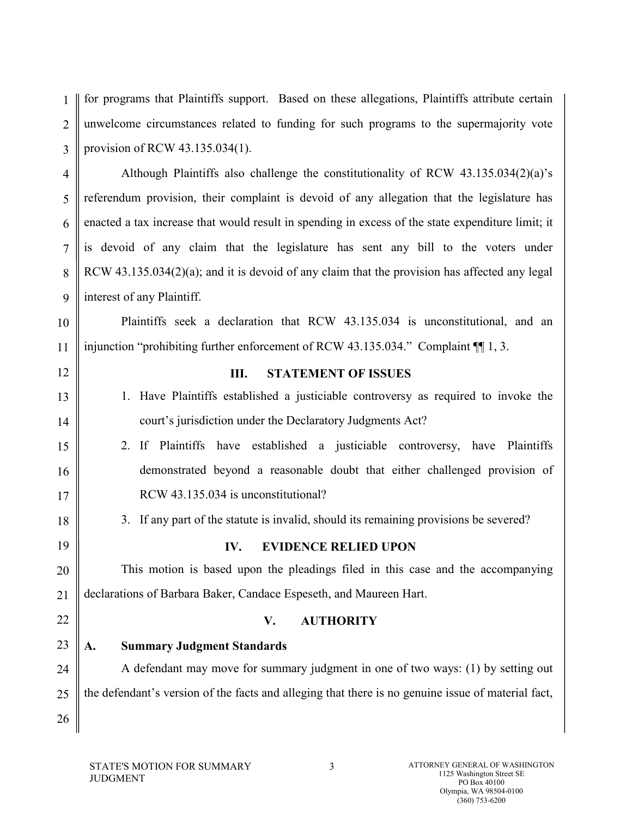1 2 3 for programs that Plaintiffs support. Based on these allegations, Plaintiffs attribute certain unwelcome circumstances related to funding for such programs to the supermajority vote provision of RCW 43.135.034(1).

4 5 6 7 8 9 Although Plaintiffs also challenge the constitutionality of RCW 43.135.034(2)(a)'s referendum provision, their complaint is devoid of any allegation that the legislature has enacted a tax increase that would result in spending in excess of the state expenditure limit; it is devoid of any claim that the legislature has sent any bill to the voters under RCW 43.135.034(2)(a); and it is devoid of any claim that the provision has affected any legal interest of any Plaintiff.

10 Plaintiffs seek a declaration that RCW 43.135.034 is unconstitutional, and an injunction "prohibiting further enforcement of RCW 43.135.034." Complaint ¶¶ 1, 3.

| 11 | injunction "prohibiting further enforcement of RCW 43.135.034." Complaint $\P$ 1, 3.               |
|----|----------------------------------------------------------------------------------------------------|
| 12 | <b>STATEMENT OF ISSUES</b><br>Ш.                                                                   |
| 13 | 1. Have Plaintiffs established a justiciable controversy as required to invoke the                 |
| 14 | court's jurisdiction under the Declaratory Judgments Act?                                          |
| 15 | 2. If Plaintiffs have established a justiciable controversy, have Plaintiffs                       |
| 16 | demonstrated beyond a reasonable doubt that either challenged provision of                         |
| 17 | RCW 43.135.034 is unconstitutional?                                                                |
| 18 | 3. If any part of the statute is invalid, should its remaining provisions be severed?              |
| 19 | <b>EVIDENCE RELIED UPON</b><br>IV.                                                                 |
| 20 | This motion is based upon the pleadings filed in this case and the accompanying                    |
| 21 | declarations of Barbara Baker, Candace Espeseth, and Maureen Hart.                                 |
| 22 | <b>AUTHORITY</b><br>V.                                                                             |
| 23 | <b>Summary Judgment Standards</b><br>A.                                                            |
| 24 | A defendant may move for summary judgment in one of two ways: (1) by setting out                   |
| 25 | the defendant's version of the facts and alleging that there is no genuine issue of material fact, |
| 26 |                                                                                                    |
|    |                                                                                                    |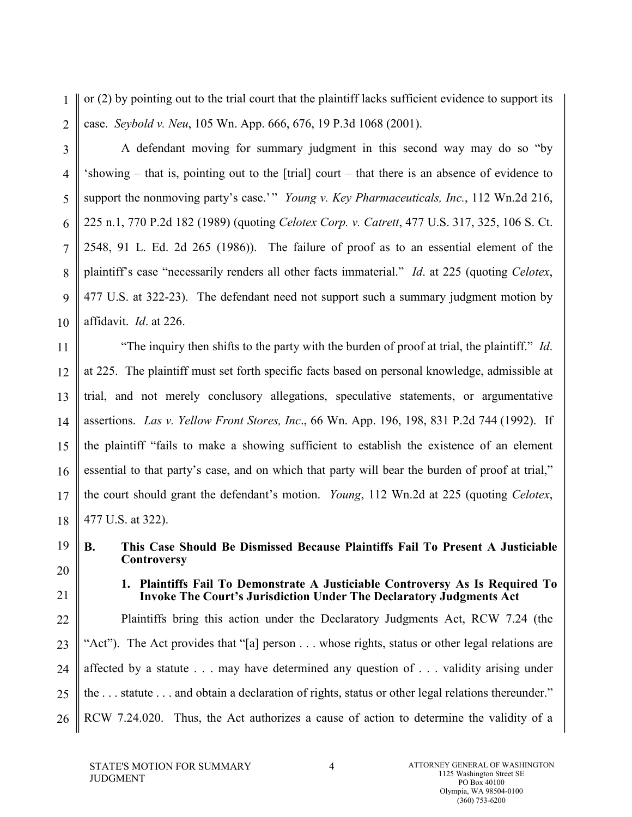1 2 or (2) by pointing out to the trial court that the plaintiff lacks sufficient evidence to support its case. *Seybold v. Neu*, 105 Wn. App. 666, 676, 19 P.3d 1068 (2001).

3 4 5 6 7 8 9 10 A defendant moving for summary judgment in this second way may do so "by 'showing – that is, pointing out to the [trial] court – that there is an absence of evidence to support the nonmoving party's case.'" *Young v. Key Pharmaceuticals, Inc.*, 112 Wn.2d 216, 225 n.1, 770 P.2d 182 (1989) (quoting *Celotex Corp. v. Catrett*, 477 U.S. 317, 325, 106 S. Ct. 2548, 91 L. Ed. 2d 265 (1986)). The failure of proof as to an essential element of the plaintiff's case "necessarily renders all other facts immaterial." *Id*. at 225 (quoting *Celotex*, 477 U.S. at 322-23). The defendant need not support such a summary judgment motion by affidavit. *Id*. at 226.

11 12 13 14 15 16 17 18 "The inquiry then shifts to the party with the burden of proof at trial, the plaintiff." *Id*. at 225. The plaintiff must set forth specific facts based on personal knowledge, admissible at trial, and not merely conclusory allegations, speculative statements, or argumentative assertions. *Las v. Yellow Front Stores, Inc*., 66 Wn. App. 196, 198, 831 P.2d 744 (1992). If the plaintiff "fails to make a showing sufficient to establish the existence of an element essential to that party's case, and on which that party will bear the burden of proof at trial," the court should grant the defendant's motion. *Young*, 112 Wn.2d at 225 (quoting *Celotex*, 477 U.S. at 322).

19 20

21

**B. This Case Should Be Dismissed Because Plaintiffs Fail To Present A Justiciable Controversy**

**1. Plaintiffs Fail To Demonstrate A Justiciable Controversy As Is Required To Invoke The Court's Jurisdiction Under The Declaratory Judgments Act**

22 23 24 25 26 Plaintiffs bring this action under the Declaratory Judgments Act, RCW 7.24 (the "Act"). The Act provides that "[a] person . . . whose rights, status or other legal relations are affected by a statute . . . may have determined any question of . . . validity arising under the . . . statute . . . and obtain a declaration of rights, status or other legal relations thereunder." RCW 7.24.020. Thus, the Act authorizes a cause of action to determine the validity of a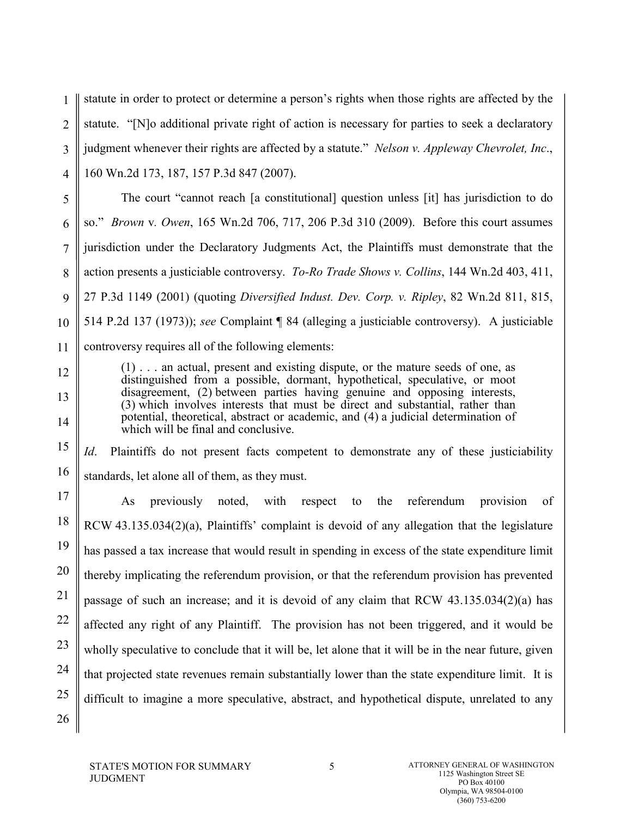1 2 3 4 statute in order to protect or determine a person's rights when those rights are affected by the statute. "[N]o additional private right of action is necessary for parties to seek a declaratory judgment whenever their rights are affected by a statute." *Nelson v. Appleway Chevrolet, Inc*., 160 Wn.2d 173, 187, 157 P.3d 847 (2007).

5 6 7 8 9 10 11 The court "cannot reach [a constitutional] question unless [it] has jurisdiction to do so." *Brown* v*. Owen*, 165 Wn.2d 706, 717, 206 P.3d 310 (2009). Before this court assumes jurisdiction under the Declaratory Judgments Act, the Plaintiffs must demonstrate that the action presents a justiciable controversy. *To-Ro Trade Shows v. Collins*, 144 Wn.2d 403, 411, 27 P.3d 1149 (2001) (quoting *Diversified Indust. Dev. Corp. v. Ripley*, 82 Wn.2d 811, 815, 514 P.2d 137 (1973)); *see* Complaint ¶ 84 (alleging a justiciable controversy). A justiciable controversy requires all of the following elements:

(1) . . . an actual, present and existing dispute, or the mature seeds of one, as distinguished from a possible, dormant, hypothetical, speculative, or moot disagreement, (2) between parties having genuine and opposing interests, (3) which involves interests that must be direct and substantial, rather than potential, theoretical, abstract or academic, and (4) a judicial determination of which will be final and conclusive.

15 16 *Id*. Plaintiffs do not present facts competent to demonstrate any of these justiciability standards, let alone all of them, as they must.

17 18 19 20 21 22 23 24 25 As previously noted, with respect to the referendum provision of RCW 43.135.034(2)(a), Plaintiffs' complaint is devoid of any allegation that the legislature has passed a tax increase that would result in spending in excess of the state expenditure limit thereby implicating the referendum provision, or that the referendum provision has prevented passage of such an increase; and it is devoid of any claim that RCW 43.135.034(2)(a) has affected any right of any Plaintiff. The provision has not been triggered, and it would be wholly speculative to conclude that it will be, let alone that it will be in the near future, given that projected state revenues remain substantially lower than the state expenditure limit. It is difficult to imagine a more speculative, abstract, and hypothetical dispute, unrelated to any

12

13

14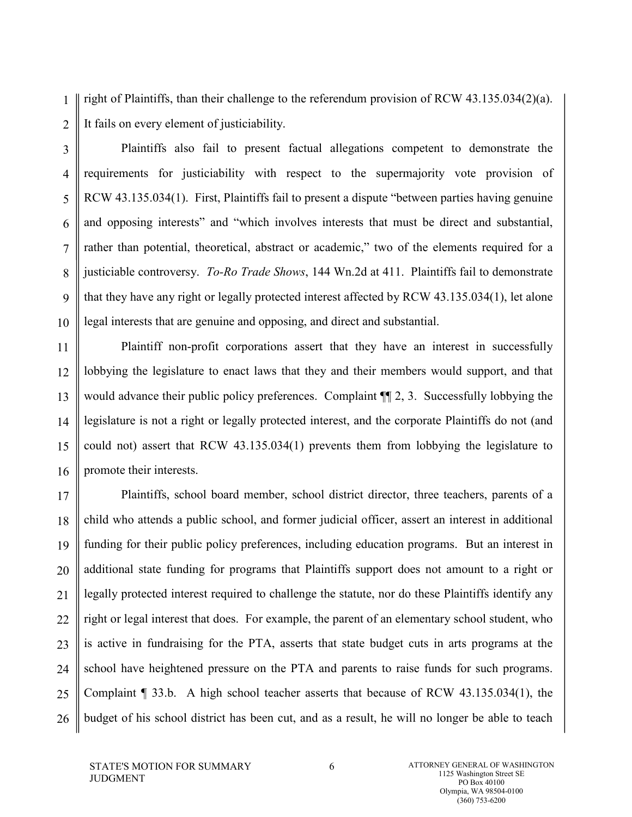1 2 right of Plaintiffs, than their challenge to the referendum provision of RCW 43.135.034(2)(a). It fails on every element of justiciability.

3 4 5 6 7 8 9 10 Plaintiffs also fail to present factual allegations competent to demonstrate the requirements for justiciability with respect to the supermajority vote provision of RCW 43.135.034(1). First, Plaintiffs fail to present a dispute "between parties having genuine and opposing interests" and "which involves interests that must be direct and substantial, rather than potential, theoretical, abstract or academic," two of the elements required for a justiciable controversy. *To-Ro Trade Shows*, 144 Wn.2d at 411. Plaintiffs fail to demonstrate that they have any right or legally protected interest affected by RCW 43.135.034(1), let alone legal interests that are genuine and opposing, and direct and substantial.

11 12 13 14 15 16 Plaintiff non-profit corporations assert that they have an interest in successfully lobbying the legislature to enact laws that they and their members would support, and that would advance their public policy preferences. Complaint ¶¶ 2, 3. Successfully lobbying the legislature is not a right or legally protected interest, and the corporate Plaintiffs do not (and could not) assert that RCW 43.135.034(1) prevents them from lobbying the legislature to promote their interests.

17 18 19 20 21 22 23 24 25 26 Plaintiffs, school board member, school district director, three teachers, parents of a child who attends a public school, and former judicial officer, assert an interest in additional funding for their public policy preferences, including education programs. But an interest in additional state funding for programs that Plaintiffs support does not amount to a right or legally protected interest required to challenge the statute, nor do these Plaintiffs identify any right or legal interest that does. For example, the parent of an elementary school student, who is active in fundraising for the PTA, asserts that state budget cuts in arts programs at the school have heightened pressure on the PTA and parents to raise funds for such programs. Complaint ¶ 33.b. A high school teacher asserts that because of RCW 43.135.034(1), the budget of his school district has been cut, and as a result, he will no longer be able to teach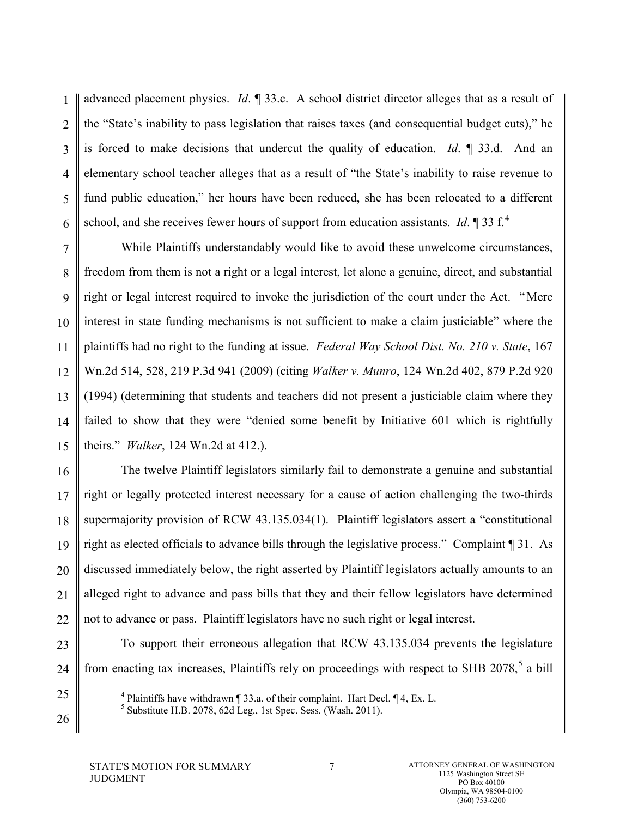1 2 3 4 5 6 advanced placement physics. *Id*. ¶ 33.c. A school district director alleges that as a result of the "State's inability to pass legislation that raises taxes (and consequential budget cuts)," he is forced to make decisions that undercut the quality of education. *Id*. ¶ 33.d. And an elementary school teacher alleges that as a result of "the State's inability to raise revenue to fund public education," her hours have been reduced, she has been relocated to a different school, and she receives fewer hours of support from education assistants. *Id*. **1** 33 f.<sup>[4](#page-15-0)</sup>

7 8 9 10 11 12 13 14 15 While Plaintiffs understandably would like to avoid these unwelcome circumstances, freedom from them is not a right or a legal interest, let alone a genuine, direct, and substantial right or legal interest required to invoke the jurisdiction of the court under the Act. "Mere interest in state funding mechanisms is not sufficient to make a claim justiciable" where the plaintiffs had no right to the funding at issue. *Federal Way School Dist. No. 210 v. State*, 167 Wn.2d 514, 528, 219 P.3d 941 (2009) (citing *Walker v. Munro*, 124 Wn.2d 402, 879 P.2d 920 (1994) (determining that students and teachers did not present a justiciable claim where they failed to show that they were "denied some benefit by Initiative 601 which is rightfully theirs." *Walker*, 124 Wn.2d at 412.).

16 17 18 19 20 21 22 The twelve Plaintiff legislators similarly fail to demonstrate a genuine and substantial right or legally protected interest necessary for a cause of action challenging the two-thirds supermajority provision of RCW 43.135.034(1). Plaintiff legislators assert a "constitutional right as elected officials to advance bills through the legislative process." Complaint ¶ 31. As discussed immediately below, the right asserted by Plaintiff legislators actually amounts to an alleged right to advance and pass bills that they and their fellow legislators have determined not to advance or pass. Plaintiff legislators have no such right or legal interest.

23 24

To support their erroneous allegation that RCW 43.135.034 prevents the legislature from enacting tax increases, Plaintiffs rely on proceedings with respect to SHB  $2078$ ,  $5$  a bill

 $4$  Plaintiffs have withdrawn  $\P$  33.a. of their complaint. Hart Decl.  $\P$  4, Ex. L.

 $<sup>5</sup>$  Substitute H.B. 2078, 62d Leg., 1st Spec. Sess. (Wash. 2011).</sup>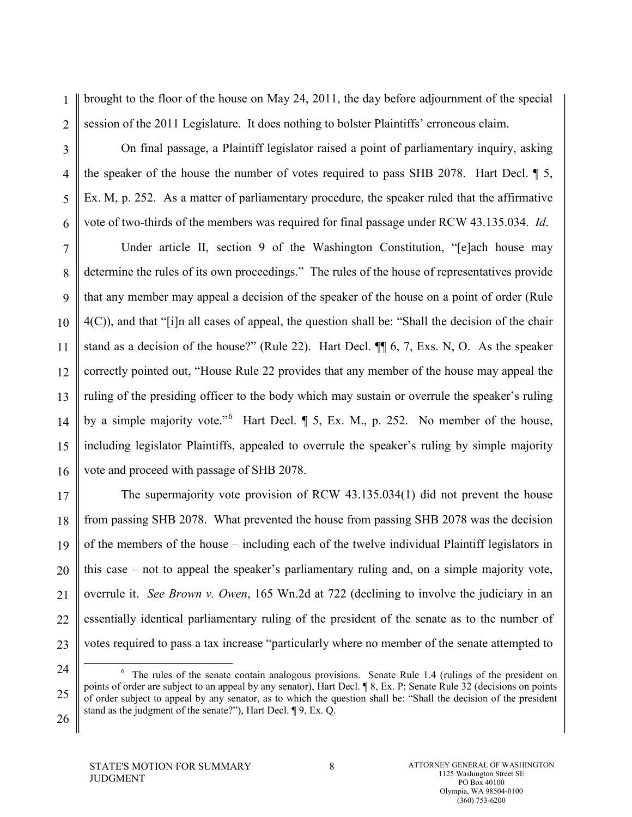1 2 brought to the floor of the house on May 24, 2011, the day before adjournment of the special session of the 2011 Legislature. It does nothing to bolster Plaintiffs' erroneous claim.

On final passage, a Plaintiff legislator raised a point of parliamentary inquiry, asking the speaker of the house the number of votes required to pass SHB 2078. Hart Decl. ¶ 5, Ex. M, p. 252. As a matter of parliamentary procedure, the speaker ruled that the affirmative vote of two-thirds of the members was required for final passage under RCW 43.135.034. *Id*.

7 8 9 10 11 12 13 14 15 16 Under article II, section 9 of the Washington Constitution, "[e]ach house may determine the rules of its own proceedings." The rules of the house of representatives provide that any member may appeal a decision of the speaker of the house on a point of order (Rule 4(C)), and that "[i]n all cases of appeal, the question shall be: "Shall the decision of the chair stand as a decision of the house?" (Rule 22). Hart Decl. ¶¶ 6, 7, Exs. N, O. As the speaker correctly pointed out, "House Rule 22 provides that any member of the house may appeal the ruling of the presiding officer to the body which may sustain or overrule the speaker's ruling by a simple majority vote."<sup>[6](#page-16-1)</sup> Hart Decl. ¶ 5, Ex. M., p. 252. No member of the house, including legislator Plaintiffs, appealed to overrule the speaker's ruling by simple majority vote and proceed with passage of SHB 2078.

17 18 19 20 21 22 23 The supermajority vote provision of RCW 43.135.034(1) did not prevent the house from passing SHB 2078. What prevented the house from passing SHB 2078 was the decision of the members of the house – including each of the twelve individual Plaintiff legislators in this case – not to appeal the speaker's parliamentary ruling and, on a simple majority vote, overrule it. *See Brown v. Owen*, 165 Wn.2d at 722 (declining to involve the judiciary in an essentially identical parliamentary ruling of the president of the senate as to the number of votes required to pass a tax increase "particularly where no member of the senate attempted to

<span id="page-15-0"></span>24

3

4

5

6

<sup>25</sup> 6  $6\degree$  The rules of the senate contain analogous provisions. Senate Rule 1.4 (rulings of the president on points of order are subject to an appeal by any senator), Hart Decl. ¶ 8, Ex. P; Senate Rule 32 (decisions on points of order subject to appeal by any senator, as to which the question shall be: "Shall the decision of the president stand as the judgment of the senate?"), Hart Decl. ¶ 9, Ex. Q.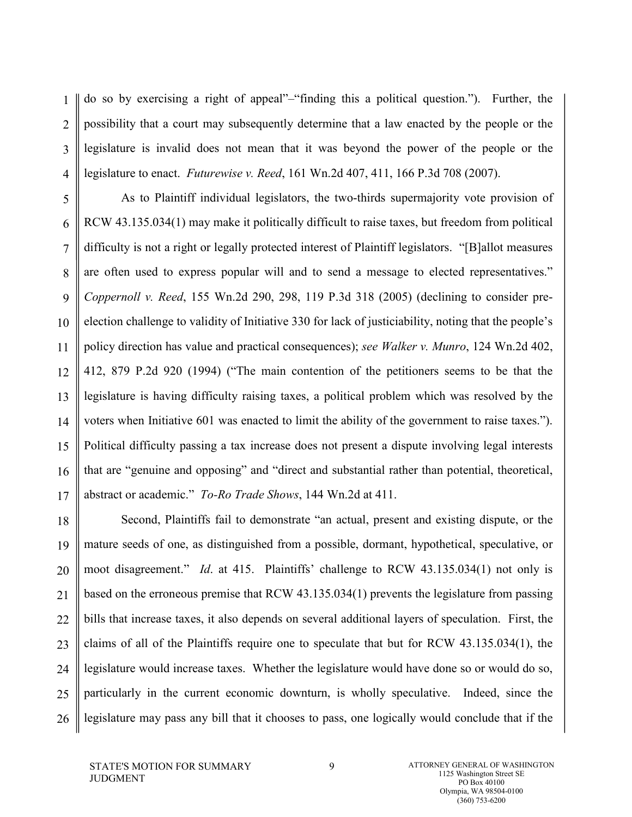1 2 3 4 do so by exercising a right of appeal"–"finding this a political question."). Further, the possibility that a court may subsequently determine that a law enacted by the people or the legislature is invalid does not mean that it was beyond the power of the people or the legislature to enact. *Futurewise v. Reed*, 161 Wn.2d 407, 411, 166 P.3d 708 (2007).

5 6 7 8 9 10 11 12 13 14 15 16 17 As to Plaintiff individual legislators, the two-thirds supermajority vote provision of RCW 43.135.034(1) may make it politically difficult to raise taxes, but freedom from political difficulty is not a right or legally protected interest of Plaintiff legislators. "[B]allot measures are often used to express popular will and to send a message to elected representatives." *Coppernoll v. Reed*, 155 Wn.2d 290, 298, 119 P.3d 318 (2005) (declining to consider preelection challenge to validity of Initiative 330 for lack of justiciability, noting that the people's policy direction has value and practical consequences); *see Walker v. Munro*, 124 Wn.2d 402, 412, 879 P.2d 920 (1994) ("The main contention of the petitioners seems to be that the legislature is having difficulty raising taxes, a political problem which was resolved by the voters when Initiative 601 was enacted to limit the ability of the government to raise taxes."). Political difficulty passing a tax increase does not present a dispute involving legal interests that are "genuine and opposing" and "direct and substantial rather than potential, theoretical, abstract or academic." *To-Ro Trade Shows*, 144 Wn.2d at 411.

<span id="page-16-1"></span><span id="page-16-0"></span>18 19 20 21 22 23 24 25 26 Second, Plaintiffs fail to demonstrate "an actual, present and existing dispute, or the mature seeds of one, as distinguished from a possible, dormant, hypothetical, speculative, or moot disagreement." *Id*. at 415. Plaintiffs' challenge to RCW 43.135.034(1) not only is based on the erroneous premise that RCW 43.135.034(1) prevents the legislature from passing bills that increase taxes, it also depends on several additional layers of speculation. First, the claims of all of the Plaintiffs require one to speculate that but for RCW 43.135.034(1), the legislature would increase taxes. Whether the legislature would have done so or would do so, particularly in the current economic downturn, is wholly speculative. Indeed, since the legislature may pass any bill that it chooses to pass, one logically would conclude that if the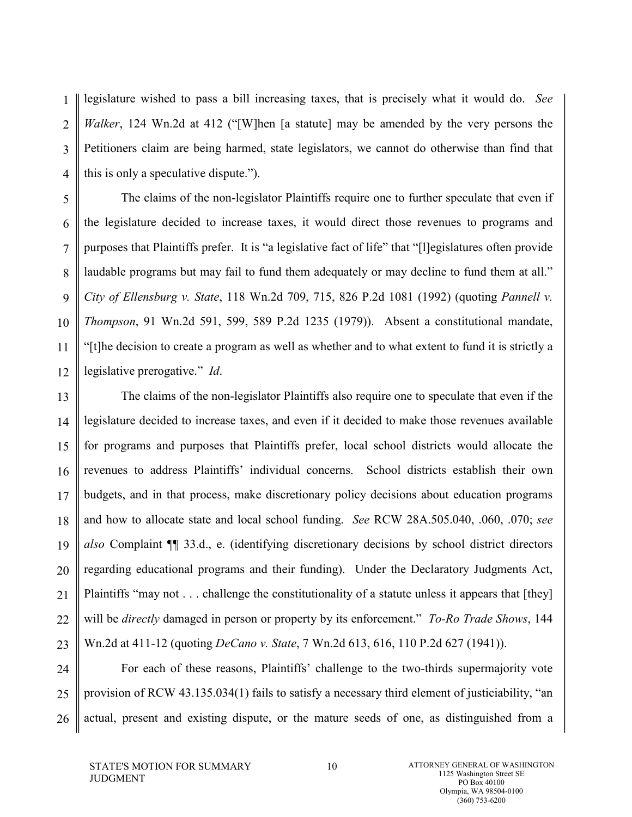1 2 3 4 legislature wished to pass a bill increasing taxes, that is precisely what it would do. *See Walker*, 124 Wn.2d at 412 ("[W]hen [a statute] may be amended by the very persons the Petitioners claim are being harmed, state legislators, we cannot do otherwise than find that this is only a speculative dispute.").

5 6 7 8 9 10 11 12 The claims of the non-legislator Plaintiffs require one to further speculate that even if the legislature decided to increase taxes, it would direct those revenues to programs and purposes that Plaintiffs prefer. It is "a legislative fact of life" that "[l]egislatures often provide laudable programs but may fail to fund them adequately or may decline to fund them at all." *City of Ellensburg v. State*, 118 Wn.2d 709, 715, 826 P.2d 1081 (1992) (quoting *Pannell v. Thompson*, 91 Wn.2d 591, 599, 589 P.2d 1235 (1979)). Absent a constitutional mandate, "[t]he decision to create a program as well as whether and to what extent to fund it is strictly a legislative prerogative." *Id*.

13 14 15 16 17 18 19 20 21 22 23 The claims of the non-legislator Plaintiffs also require one to speculate that even if the legislature decided to increase taxes, and even if it decided to make those revenues available for programs and purposes that Plaintiffs prefer, local school districts would allocate the revenues to address Plaintiffs' individual concerns. School districts establish their own budgets, and in that process, make discretionary policy decisions about education programs and how to allocate state and local school funding. *See* RCW 28A.505.040, .060, .070; *see also* Complaint ¶¶ 33.d., e. (identifying discretionary decisions by school district directors regarding educational programs and their funding). Under the Declaratory Judgments Act, Plaintiffs "may not . . . challenge the constitutionality of a statute unless it appears that [they] will be *directly* damaged in person or property by its enforcement." *To-Ro Trade Shows*, 144 Wn.2d at 411-12 (quoting *DeCano v. State*, 7 Wn.2d 613, 616, 110 P.2d 627 (1941)).

24 25 26 For each of these reasons, Plaintiffs' challenge to the two-thirds supermajority vote provision of RCW 43.135.034(1) fails to satisfy a necessary third element of justiciability, "an actual, present and existing dispute, or the mature seeds of one, as distinguished from a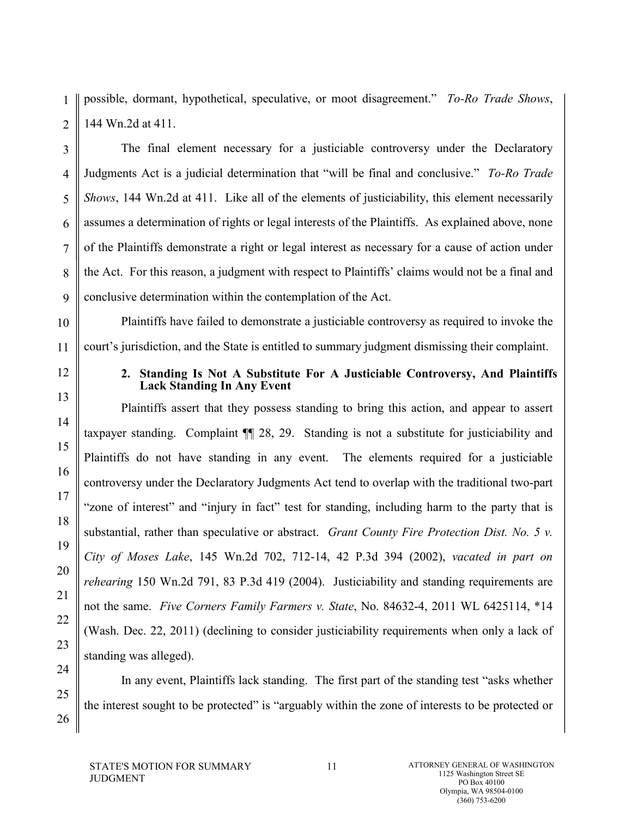1 2 possible, dormant, hypothetical, speculative, or moot disagreement." *To-Ro Trade Shows*, 144 Wn.2d at 411.

3 4 5 6 7 8 9 The final element necessary for a justiciable controversy under the Declaratory Judgments Act is a judicial determination that "will be final and conclusive." *To-Ro Trade Shows*, 144 Wn.2d at 411. Like all of the elements of justiciability, this element necessarily assumes a determination of rights or legal interests of the Plaintiffs. As explained above, none of the Plaintiffs demonstrate a right or legal interest as necessary for a cause of action under the Act. For this reason, a judgment with respect to Plaintiffs' claims would not be a final and conclusive determination within the contemplation of the Act.

10 11 Plaintiffs have failed to demonstrate a justiciable controversy as required to invoke the court's jurisdiction, and the State is entitled to summary judgment dismissing their complaint.

#### **2. Standing Is Not A Substitute For A Justiciable Controversy, And Plaintiffs Lack Standing In Any Event**

Plaintiffs assert that they possess standing to bring this action, and appear to assert taxpayer standing. Complaint ¶¶ 28, 29. Standing is not a substitute for justiciability and Plaintiffs do not have standing in any event. The elements required for a justiciable controversy under the Declaratory Judgments Act tend to overlap with the traditional two-part "zone of interest" and "injury in fact" test for standing, including harm to the party that is substantial, rather than speculative or abstract. *Grant County Fire Protection Dist. No. 5 v. City of Moses Lake*, 145 Wn.2d 702, 712-14, 42 P.3d 394 (2002), *vacated in part on rehearing* 150 Wn.2d 791, 83 P.3d 419 (2004). Justiciability and standing requirements are not the same. *Five Corners Family Farmers v. State*, No. 84632-4, 2011 WL 6425114, \*14 (Wash. Dec. 22, 2011) (declining to consider justiciability requirements when only a lack of standing was alleged).

In any event, Plaintiffs lack standing. The first part of the standing test "asks whether the interest sought to be protected" is "arguably within the zone of interests to be protected or

12

13

14

15

16

17

18

19

20

21

22

23

24

25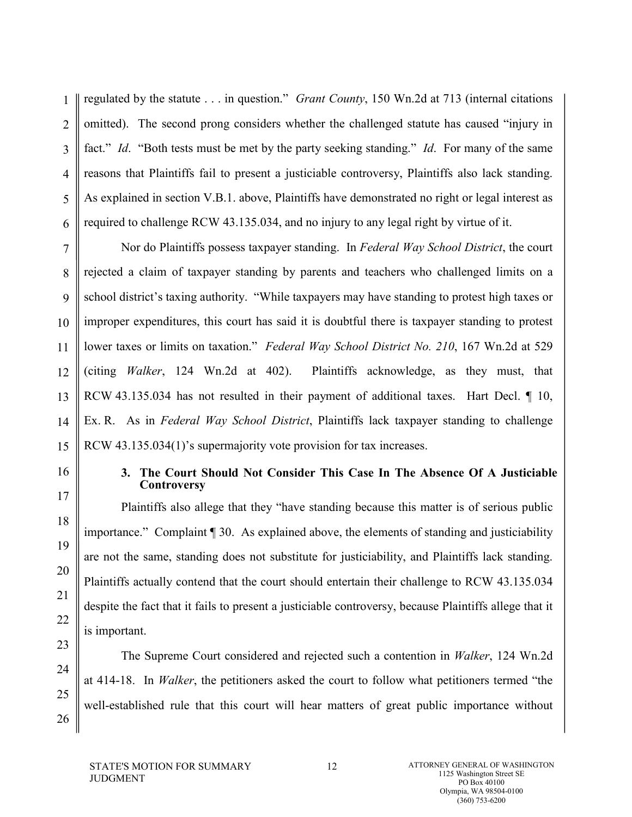1 2 3 4 5 6 regulated by the statute . . . in question." *Grant County*, 150 Wn.2d at 713 (internal citations omitted). The second prong considers whether the challenged statute has caused "injury in fact." *Id*. "Both tests must be met by the party seeking standing." *Id*. For many of the same reasons that Plaintiffs fail to present a justiciable controversy, Plaintiffs also lack standing. As explained in section V.B.1. above, Plaintiffs have demonstrated no right or legal interest as required to challenge RCW 43.135.034, and no injury to any legal right by virtue of it.

7 8 9 10 11 12 13 14 15 Nor do Plaintiffs possess taxpayer standing. In *Federal Way School District*, the court rejected a claim of taxpayer standing by parents and teachers who challenged limits on a school district's taxing authority. "While taxpayers may have standing to protest high taxes or improper expenditures, this court has said it is doubtful there is taxpayer standing to protest lower taxes or limits on taxation." *Federal Way School District No. 210*, 167 Wn.2d at 529 (citing *Walker*, 124 Wn.2d at 402). Plaintiffs acknowledge, as they must, that RCW 43.135.034 has not resulted in their payment of additional taxes. Hart Decl. 1 10, Ex. R. As in *Federal Way School District*, Plaintiffs lack taxpayer standing to challenge RCW 43.135.034(1)'s supermajority vote provision for tax increases.

16 17

18

19

20

21

22

23

24

25

26

#### **3. The Court Should Not Consider This Case In The Absence Of A Justiciable Controversy**

Plaintiffs also allege that they "have standing because this matter is of serious public importance." Complaint ¶ 30. As explained above, the elements of standing and justiciability are not the same, standing does not substitute for justiciability, and Plaintiffs lack standing. Plaintiffs actually contend that the court should entertain their challenge to RCW 43.135.034 despite the fact that it fails to present a justiciable controversy, because Plaintiffs allege that it is important.

The Supreme Court considered and rejected such a contention in *Walker*, 124 Wn.2d at 414-18. In *Walker*, the petitioners asked the court to follow what petitioners termed "the well-established rule that this court will hear matters of great public importance without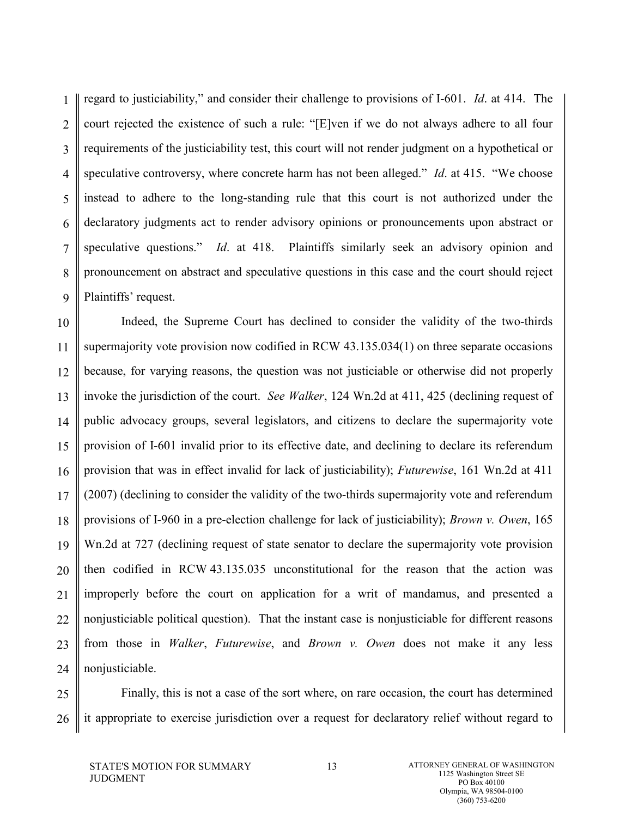1 2 3 4 5 6 7 8 9 regard to justiciability," and consider their challenge to provisions of I-601. *Id*. at 414. The court rejected the existence of such a rule: "[E]ven if we do not always adhere to all four requirements of the justiciability test, this court will not render judgment on a hypothetical or speculative controversy, where concrete harm has not been alleged." *Id*. at 415. "We choose instead to adhere to the long-standing rule that this court is not authorized under the declaratory judgments act to render advisory opinions or pronouncements upon abstract or speculative questions." *Id*. at 418. Plaintiffs similarly seek an advisory opinion and pronouncement on abstract and speculative questions in this case and the court should reject Plaintiffs' request.

10 11 12 13 14 15 16 17 18 19 20 21 22 23 24 Indeed, the Supreme Court has declined to consider the validity of the two-thirds supermajority vote provision now codified in RCW 43.135.034(1) on three separate occasions because, for varying reasons, the question was not justiciable or otherwise did not properly invoke the jurisdiction of the court. *See Walker*, 124 Wn.2d at 411, 425 (declining request of public advocacy groups, several legislators, and citizens to declare the supermajority vote provision of I-601 invalid prior to its effective date, and declining to declare its referendum provision that was in effect invalid for lack of justiciability); *Futurewise*, 161 Wn.2d at 411 (2007) (declining to consider the validity of the two-thirds supermajority vote and referendum provisions of I-960 in a pre-election challenge for lack of justiciability); *Brown v. Owen*, 165 Wn.2d at 727 (declining request of state senator to declare the supermajority vote provision then codified in RCW 43.135.035 unconstitutional for the reason that the action was improperly before the court on application for a writ of mandamus, and presented a nonjusticiable political question). That the instant case is nonjusticiable for different reasons from those in *Walker*, *Futurewise*, and *Brown v. Owen* does not make it any less nonjusticiable.

25 26 Finally, this is not a case of the sort where, on rare occasion, the court has determined it appropriate to exercise jurisdiction over a request for declaratory relief without regard to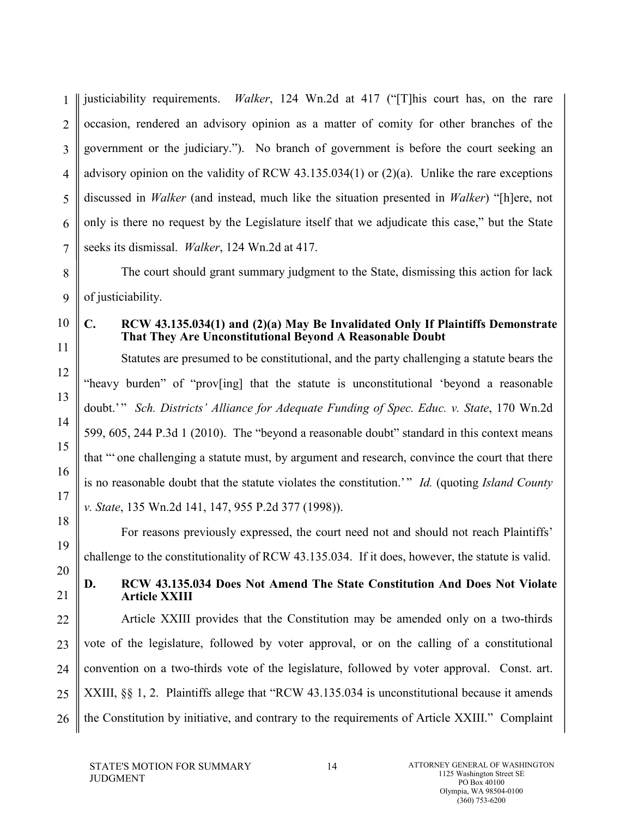1 2 3 4 5 6 7 justiciability requirements. *Walker*, 124 Wn.2d at 417 ("[T]his court has, on the rare occasion, rendered an advisory opinion as a matter of comity for other branches of the government or the judiciary."). No branch of government is before the court seeking an advisory opinion on the validity of RCW 43.135.034(1) or (2)(a). Unlike the rare exceptions discussed in *Walker* (and instead, much like the situation presented in *Walker*) "[h]ere, not only is there no request by the Legislature itself that we adjudicate this case," but the State seeks its dismissal. *Walker*, 124 Wn.2d at 417.

8 9 The court should grant summary judgment to the State, dismissing this action for lack of justiciability.

10

11

12

13

14

15

16

17

18

19

20

#### **C. RCW 43.135.034(1) and (2)(a) May Be Invalidated Only If Plaintiffs Demonstrate That They Are Unconstitutional Beyond A Reasonable Doubt**

Statutes are presumed to be constitutional, and the party challenging a statute bears the "heavy burden" of "prov[ing] that the statute is unconstitutional 'beyond a reasonable doubt.'" *Sch. Districts' Alliance for Adequate Funding of Spec. Educ. v. State*, 170 Wn.2d 599, 605, 244 P.3d 1 (2010). The "beyond a reasonable doubt" standard in this context means that "' one challenging a statute must, by argument and research, convince the court that there is no reasonable doubt that the statute violates the constitution.'" *Id.* (quoting *Island County v. State*, 135 Wn.2d 141, 147, 955 P.2d 377 (1998)).

For reasons previously expressed, the court need not and should not reach Plaintiffs' challenge to the constitutionality of RCW 43.135.034. If it does, however, the statute is valid.

# 21

### **D. RCW 43.135.034 Does Not Amend The State Constitution And Does Not Violate Article XXIII**

22 23 24 25 26 Article XXIII provides that the Constitution may be amended only on a two-thirds vote of the legislature, followed by voter approval, or on the calling of a constitutional convention on a two-thirds vote of the legislature, followed by voter approval. Const. art. XXIII, §§ 1, 2. Plaintiffs allege that "RCW 43.135.034 is unconstitutional because it amends the Constitution by initiative, and contrary to the requirements of Article XXIII." Complaint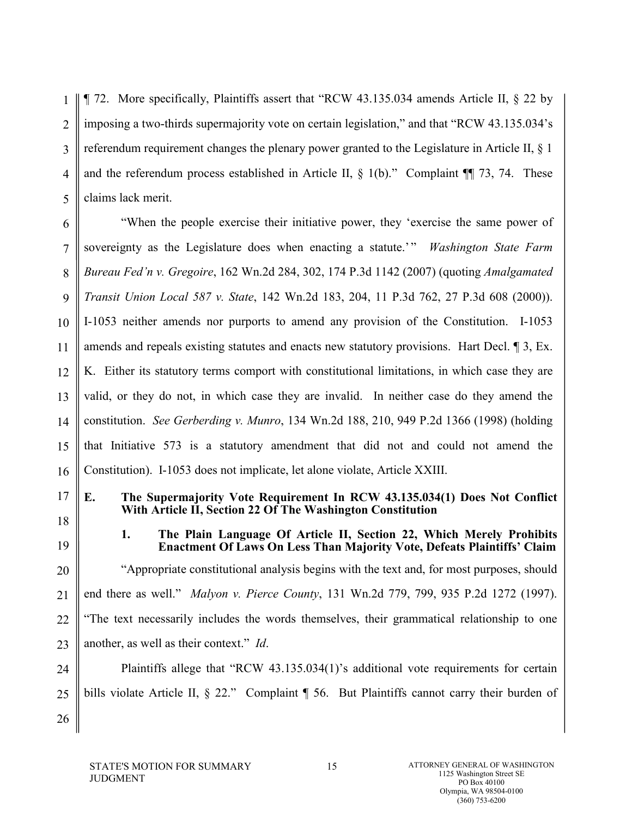1 2 3 4 5 ¶ 72. More specifically, Plaintiffs assert that "RCW 43.135.034 amends Article II, § 22 by imposing a two-thirds supermajority vote on certain legislation," and that "RCW 43.135.034's referendum requirement changes the plenary power granted to the Legislature in Article II, § 1 and the referendum process established in Article II,  $\S$  1(b)." Complaint  $\P$  73, 74. These claims lack merit.

6 7 8 9 10 11 12 13 14 15 16 "When the people exercise their initiative power, they 'exercise the same power of sovereignty as the Legislature does when enacting a statute.' " *Washington State Farm Bureau Fed'n v. Gregoire*, 162 Wn.2d 284, 302, 174 P.3d 1142 (2007) (quoting *Amalgamated Transit Union Local 587 v. State*, 142 Wn.2d 183, 204, 11 P.3d 762, 27 P.3d 608 (2000)). I-1053 neither amends nor purports to amend any provision of the Constitution. I-1053 amends and repeals existing statutes and enacts new statutory provisions. Hart Decl. ¶ 3, Ex. K. Either its statutory terms comport with constitutional limitations, in which case they are valid, or they do not, in which case they are invalid. In neither case do they amend the constitution. *See Gerberding v. Munro*, 134 Wn.2d 188, 210, 949 P.2d 1366 (1998) (holding that Initiative 573 is a statutory amendment that did not and could not amend the Constitution). I-1053 does not implicate, let alone violate, Article XXIII.

17

**E. The Supermajority Vote Requirement In RCW 43.135.034(1) Does Not Conflict With Article II, Section 22 Of The Washington Constitution**

18 19

26

**1. The Plain Language Of Article II, Section 22, Which Merely Prohibits Enactment Of Laws On Less Than Majority Vote, Defeats Plaintiffs' Claim**

20 21 22 23 "Appropriate constitutional analysis begins with the text and, for most purposes, should end there as well." *Malyon v. Pierce County*, 131 Wn.2d 779, 799, 935 P.2d 1272 (1997). "The text necessarily includes the words themselves, their grammatical relationship to one another, as well as their context." *Id*.

24 25 Plaintiffs allege that "RCW 43.135.034(1)'s additional vote requirements for certain bills violate Article II, § 22." Complaint ¶ 56. But Plaintiffs cannot carry their burden of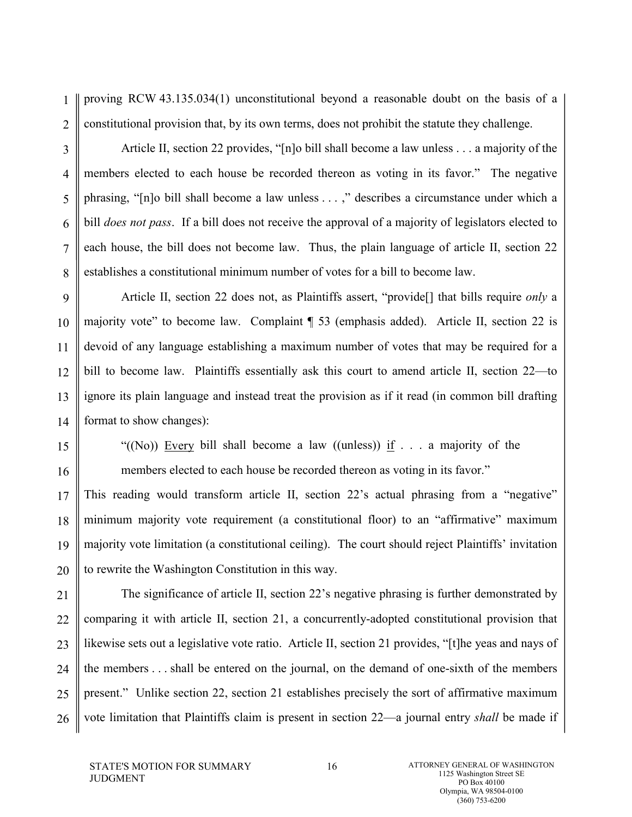1 2 proving RCW 43.135.034(1) unconstitutional beyond a reasonable doubt on the basis of a constitutional provision that, by its own terms, does not prohibit the statute they challenge.

3

4

5

6

7

8

Article II, section 22 provides, "[n]o bill shall become a law unless . . . a majority of the members elected to each house be recorded thereon as voting in its favor." The negative phrasing, "[n]o bill shall become a law unless . . . ," describes a circumstance under which a bill *does not pass*. If a bill does not receive the approval of a majority of legislators elected to each house, the bill does not become law. Thus, the plain language of article II, section 22 establishes a constitutional minimum number of votes for a bill to become law.

9 10 11 12 13 14 Article II, section 22 does not, as Plaintiffs assert, "provide[] that bills require *only* a majority vote" to become law. Complaint ¶ 53 (emphasis added). Article II, section 22 is devoid of any language establishing a maximum number of votes that may be required for a bill to become law. Plaintiffs essentially ask this court to amend article II, section 22—to ignore its plain language and instead treat the provision as if it read (in common bill drafting format to show changes):

15

16

"((No)) Every bill shall become a law ((unless)) if  $\ldots$  a majority of the members elected to each house be recorded thereon as voting in its favor."

17 18 19 20 This reading would transform article II, section 22's actual phrasing from a "negative" minimum majority vote requirement (a constitutional floor) to an "affirmative" maximum majority vote limitation (a constitutional ceiling). The court should reject Plaintiffs' invitation to rewrite the Washington Constitution in this way.

21 22 23 24 25 26 The significance of article II, section 22's negative phrasing is further demonstrated by comparing it with article II, section 21, a concurrently-adopted constitutional provision that likewise sets out a legislative vote ratio. Article II, section 21 provides, "[t]he yeas and nays of the members . . . shall be entered on the journal, on the demand of one-sixth of the members present." Unlike section 22, section 21 establishes precisely the sort of affirmative maximum vote limitation that Plaintiffs claim is present in section 22—a journal entry *shall* be made if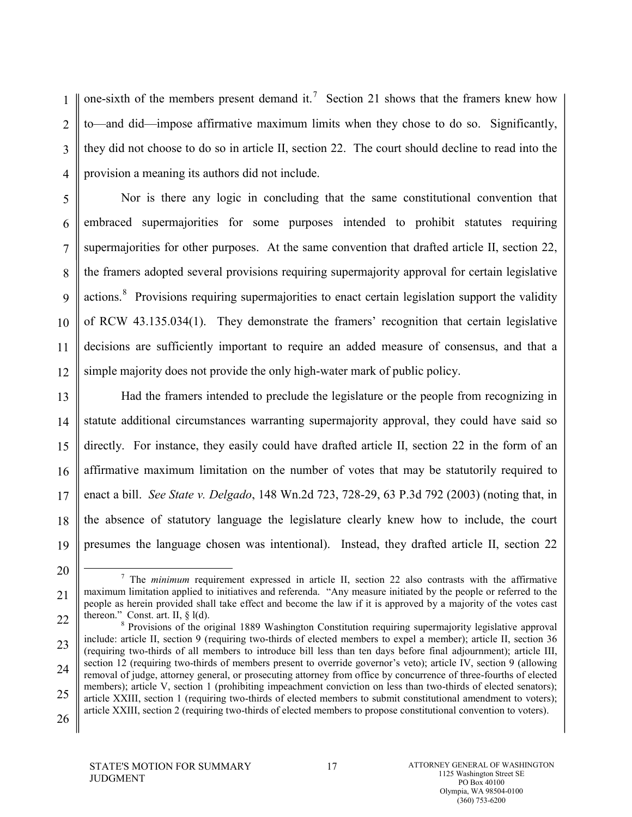1 2 3 4 one-sixth of the members present demand it.<sup>[7](#page-27-0)</sup> Section 21 shows that the framers knew how to—and did—impose affirmative maximum limits when they chose to do so. Significantly, they did not choose to do so in article II, section 22. The court should decline to read into the provision a meaning its authors did not include.

5 6 7 8 9 10 11 12 Nor is there any logic in concluding that the same constitutional convention that embraced supermajorities for some purposes intended to prohibit statutes requiring supermajorities for other purposes. At the same convention that drafted article II, section 22, the framers adopted several provisions requiring supermajority approval for certain legislative actions.<sup>[8](#page-27-1)</sup> Provisions requiring supermajorities to enact certain legislation support the validity of RCW 43.135.034(1). They demonstrate the framers' recognition that certain legislative decisions are sufficiently important to require an added measure of consensus, and that a simple majority does not provide the only high-water mark of public policy.

13 14 15 16 17 18 19 Had the framers intended to preclude the legislature or the people from recognizing in statute additional circumstances warranting supermajority approval, they could have said so directly. For instance, they easily could have drafted article II, section 22 in the form of an affirmative maximum limitation on the number of votes that may be statutorily required to enact a bill. *See State v. Delgado*, 148 Wn.2d 723, 728-29, 63 P.3d 792 (2003) (noting that, in the absence of statutory language the legislature clearly knew how to include, the court presumes the language chosen was intentional). Instead, they drafted article II, section 22

26

<sup>21</sup> 22 7 The *minimum* requirement expressed in article II, section 22 also contrasts with the affirmative maximum limitation applied to initiatives and referenda. "Any measure initiated by the people or referred to the people as herein provided shall take effect and become the law if it is approved by a majority of the votes cast thereon." Const. art. II, § l(d).<br><sup>8</sup> Provisions of the original 1889 Washington Constitution requiring supermajority legislative approval

<sup>23</sup> 24 25 include: article II, section 9 (requiring two-thirds of elected members to expel a member); article II, section 36 (requiring two-thirds of all members to introduce bill less than ten days before final adjournment); article III, section 12 (requiring two-thirds of members present to override governor's veto); article IV, section 9 (allowing removal of judge, attorney general, or prosecuting attorney from office by concurrence of three-fourths of elected members); article V, section 1 (prohibiting impeachment conviction on less than two-thirds of elected senators); article XXIII, section 1 (requiring two-thirds of elected members to submit constitutional amendment to voters); article XXIII, section 2 (requiring two-thirds of elected members to propose constitutional convention to voters).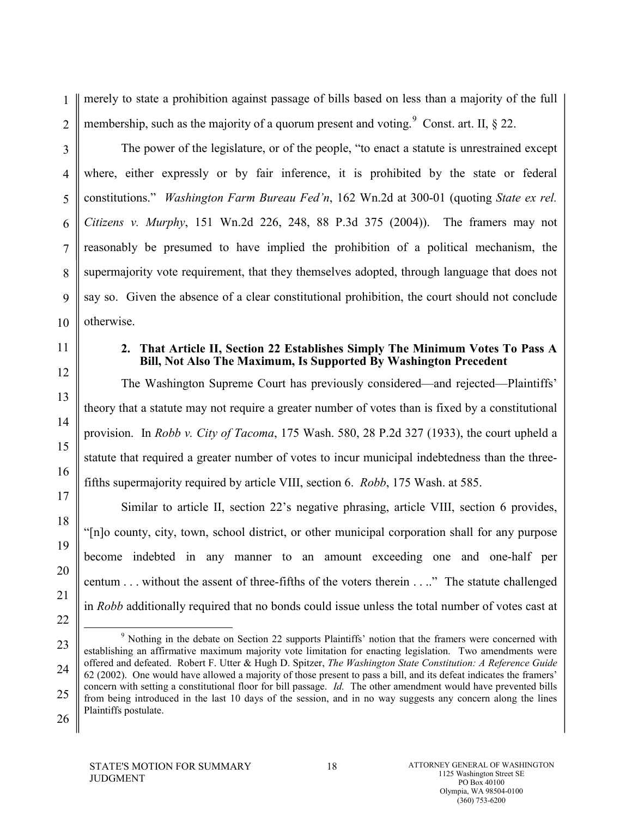1 2 merely to state a prohibition against passage of bills based on less than a majority of the full membership, such as the majority of a quorum present and voting.<sup>[9](#page-28-0)</sup> Const. art. II,  $\S$  22.

3 4 5 6 7 8 9 10 The power of the legislature, or of the people, "to enact a statute is unrestrained except where, either expressly or by fair inference, it is prohibited by the state or federal constitutions." *Washington Farm Bureau Fed'n*, 162 Wn.2d at 300-01 (quoting *State ex rel. Citizens v. Murphy*, 151 Wn.2d 226, 248, 88 P.3d 375 (2004)). The framers may not reasonably be presumed to have implied the prohibition of a political mechanism, the supermajority vote requirement, that they themselves adopted, through language that does not say so. Given the absence of a clear constitutional prohibition, the court should not conclude otherwise.

#### **2. That Article II, Section 22 Establishes Simply The Minimum Votes To Pass A Bill, Not Also The Maximum, Is Supported By Washington Precedent**

The Washington Supreme Court has previously considered—and rejected—Plaintiffs' theory that a statute may not require a greater number of votes than is fixed by a constitutional provision. In *Robb v. City of Tacoma*, 175 Wash. 580, 28 P.2d 327 (1933), the court upheld a statute that required a greater number of votes to incur municipal indebtedness than the threefifths supermajority required by article VIII, section 6. *Robb*, 175 Wash. at 585.

Similar to article II, section 22's negative phrasing, article VIII, section 6 provides, "[n]o county, city, town, school district, or other municipal corporation shall for any purpose become indebted in any manner to an amount exceeding one and one-half per centum . . . without the assent of three-fifths of the voters therein . . .." The statute challenged in *Robb* additionally required that no bonds could issue unless the total number of votes cast at

STATE'S MOTION FOR SUMMARY JUDGMENT

11

12

13

14

15

16

17

18

19

20

21

<sup>23</sup> 24 25 26 <sup>9</sup> Nothing in the debate on Section 22 supports Plaintiffs' notion that the framers were concerned with establishing an affirmative maximum majority vote limitation for enacting legislation. Two amendments were offered and defeated. Robert F. Utter & Hugh D. Spitzer, *The Washington State Constitution: A Reference Guide* 62 (2002). One would have allowed a majority of those present to pass a bill, and its defeat indicates the framers' concern with setting a constitutional floor for bill passage. *Id.* The other amendment would have prevented bills from being introduced in the last 10 days of the session, and in no way suggests any concern along the lines Plaintiffs postulate.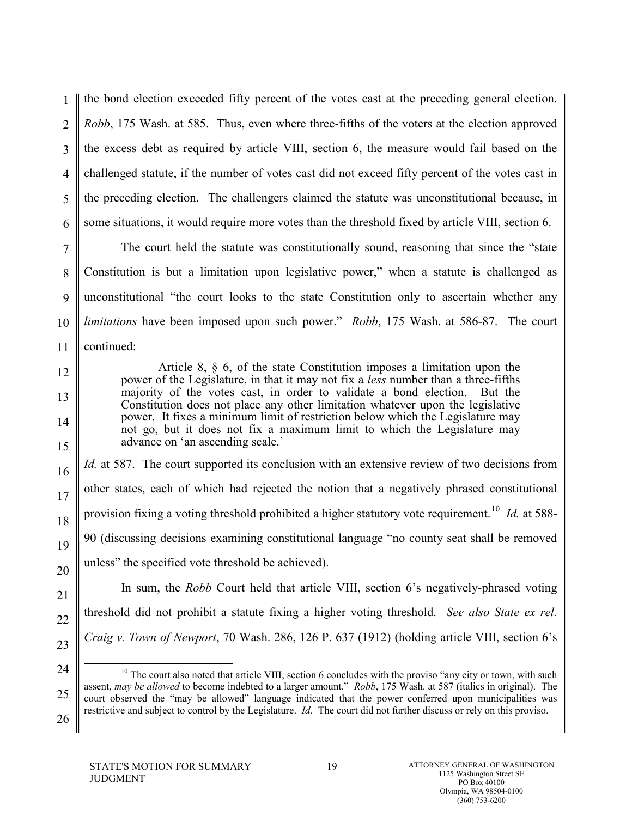1 2 3 4 5 6 the bond election exceeded fifty percent of the votes cast at the preceding general election. *Robb*, 175 Wash. at 585. Thus, even where three-fifths of the voters at the election approved the excess debt as required by article VIII, section 6, the measure would fail based on the challenged statute, if the number of votes cast did not exceed fifty percent of the votes cast in the preceding election. The challengers claimed the statute was unconstitutional because, in some situations, it would require more votes than the threshold fixed by article VIII, section 6.

7 8 9 10 11 The court held the statute was constitutionally sound, reasoning that since the "state Constitution is but a limitation upon legislative power," when a statute is challenged as unconstitutional "the court looks to the state Constitution only to ascertain whether any *limitations* have been imposed upon such power." *Robb*, 175 Wash. at 586-87. The court continued:

> Article 8, § 6, of the state Constitution imposes a limitation upon the power of the Legislature, in that it may not fix a *less* number than a three-fifths majority of the votes cast, in order to validate a bond election. But the Constitution does not place any other limitation whatever upon the legislative power. It fixes a minimum limit of restriction below which the Legislature may not go, but it does not fix a maximum limit to which the Legislature may advance on 'an ascending scale.'

*Id.* at 587. The court supported its conclusion with an extensive review of two decisions from other states, each of which had rejected the notion that a negatively phrased constitutional provision fixing a voting threshold prohibited a higher statutory vote requirement.<sup>[10](#page-30-0)</sup> *Id.* at 588-90 (discussing decisions examining constitutional language "no county seat shall be removed unless" the specified vote threshold be achieved).

In sum, the *Robb* Court held that article VIII, section 6's negatively-phrased voting threshold did not prohibit a statute fixing a higher voting threshold. *See also State ex rel. Craig v. Town of Newport*, 70 Wash. 286, 126 P. 637 (1912) (holding article VIII, section 6's

STATE'S MOTION FOR SUMMARY JUDGMENT

12

13

14

15

16

17

18

19

20

21

22

<sup>24</sup> 25 26 <sup>10</sup> The court also noted that article VIII, section 6 concludes with the proviso "any city or town, with such assent, *may be allowed* to become indebted to a larger amount." *Robb*, 175 Wash. at 587 (italics in original). The court observed the "may be allowed" language indicated that the power conferred upon municipalities was restrictive and subject to control by the Legislature. *Id.* The court did not further discuss or rely on this proviso.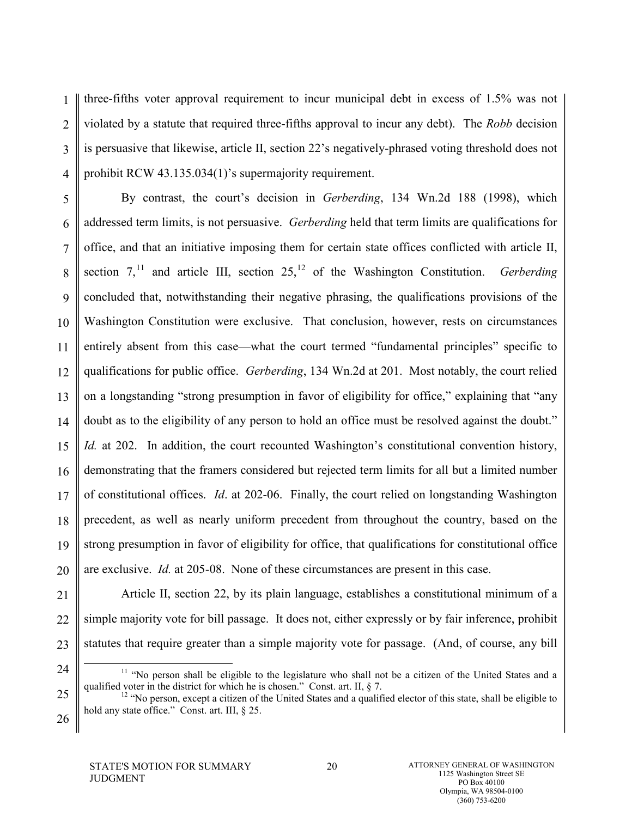1 2 3 4 three-fifths voter approval requirement to incur municipal debt in excess of 1.5% was not violated by a statute that required three-fifths approval to incur any debt). The *Robb* decision is persuasive that likewise, article II, section 22's negatively-phrased voting threshold does not prohibit RCW 43.135.034(1)'s supermajority requirement.

5 6 7 8 9 10 11 12 13 14 15 16 17 18 19 20 By contrast, the court's decision in *Gerberding*, 134 Wn.2d 188 (1998), which addressed term limits, is not persuasive. *Gerberding* held that term limits are qualifications for office, and that an initiative imposing them for certain state offices conflicted with article II, section  $7$ ,<sup>[11](#page-31-0)</sup> and article III, section  $25$ ,<sup>[12](#page-31-1)</sup> of the Washington Constitution. *Gerberding* concluded that, notwithstanding their negative phrasing, the qualifications provisions of the Washington Constitution were exclusive. That conclusion, however, rests on circumstances entirely absent from this case—what the court termed "fundamental principles" specific to qualifications for public office. *Gerberding*, 134 Wn.2d at 201. Most notably, the court relied on a longstanding "strong presumption in favor of eligibility for office," explaining that "any doubt as to the eligibility of any person to hold an office must be resolved against the doubt." *Id.* at 202. In addition, the court recounted Washington's constitutional convention history, demonstrating that the framers considered but rejected term limits for all but a limited number of constitutional offices. *Id*. at 202-06. Finally, the court relied on longstanding Washington precedent, as well as nearly uniform precedent from throughout the country, based on the strong presumption in favor of eligibility for office, that qualifications for constitutional office are exclusive. *Id.* at 205-08. None of these circumstances are present in this case.

<span id="page-27-1"></span><span id="page-27-0"></span>21 22 23 Article II, section 22, by its plain language, establishes a constitutional minimum of a simple majority vote for bill passage. It does not, either expressly or by fair inference, prohibit statutes that require greater than a simple majority vote for passage. (And, of course, any bill

<sup>24</sup> 25 <sup>11</sup> "No person shall be eligible to the legislature who shall not be a citizen of the United States and a qualified voter in the district for which he is chosen." Const. art. II,  $\S$  7.

 $\frac{12}{12}$  "No person, except a citizen of the United States and a qualified elector of this state, shall be eligible to hold any state office." Const. art. III, § 25.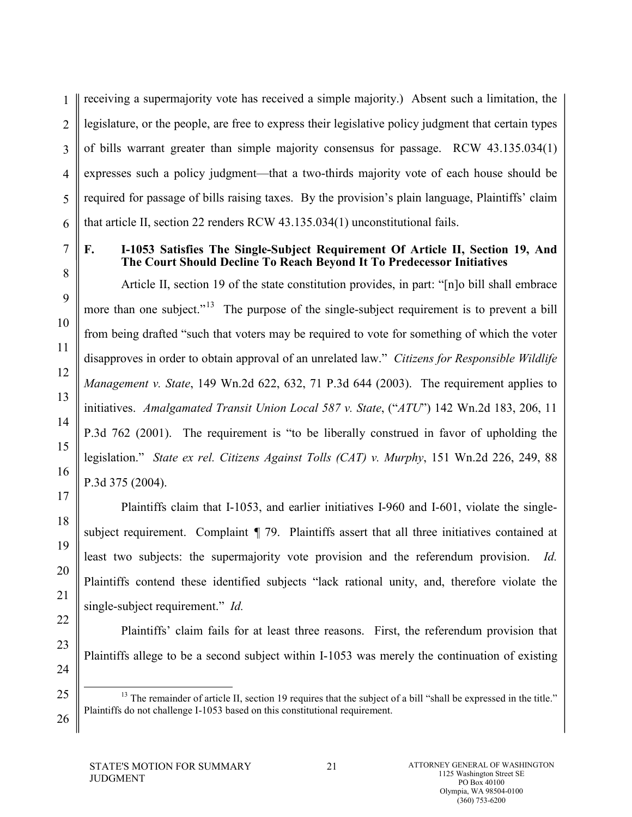1 2 3 4 5 6 receiving a supermajority vote has received a simple majority.) Absent such a limitation, the legislature, or the people, are free to express their legislative policy judgment that certain types of bills warrant greater than simple majority consensus for passage. RCW 43.135.034(1) expresses such a policy judgment—that a two-thirds majority vote of each house should be required for passage of bills raising taxes. By the provision's plain language, Plaintiffs' claim that article II, section 22 renders RCW 43.135.034(1) unconstitutional fails.

7

#### **F. I-1053 Satisfies The Single-Subject Requirement Of Article II, Section 19, And The Court Should Decline To Reach Beyond It To Predecessor Initiatives**

Article II, section 19 of the state constitution provides, in part: "[n]o bill shall embrace more than one subject."<sup>[13](#page-32-0)</sup> The purpose of the single-subject requirement is to prevent a bill from being drafted "such that voters may be required to vote for something of which the voter disapproves in order to obtain approval of an unrelated law." *Citizens for Responsible Wildlife Management v. State*, 149 Wn.2d 622, 632, 71 P.3d 644 (2003). The requirement applies to initiatives. *Amalgamated Transit Union Local 587 v. State*, ("*ATU*") 142 Wn.2d 183, 206, 11 P.3d 762 (2001). The requirement is "to be liberally construed in favor of upholding the legislation." *State ex rel. Citizens Against Tolls (CAT) v. Murphy*, 151 Wn.2d 226, 249, 88 P.3d 375 (2004).

Plaintiffs claim that I-1053, and earlier initiatives I-960 and I-601, violate the singlesubject requirement. Complaint  $\P$  79. Plaintiffs assert that all three initiatives contained at least two subjects: the supermajority vote provision and the referendum provision. *Id.* Plaintiffs contend these identified subjects "lack rational unity, and, therefore violate the single-subject requirement." *Id.*

<span id="page-28-0"></span>Plaintiffs' claim fails for at least three reasons. First, the referendum provision that Plaintiffs allege to be a second subject within I-1053 was merely the continuation of existing

 $13$  The remainder of article II, section 19 requires that the subject of a bill "shall be expressed in the title." Plaintiffs do not challenge I-1053 based on this constitutional requirement.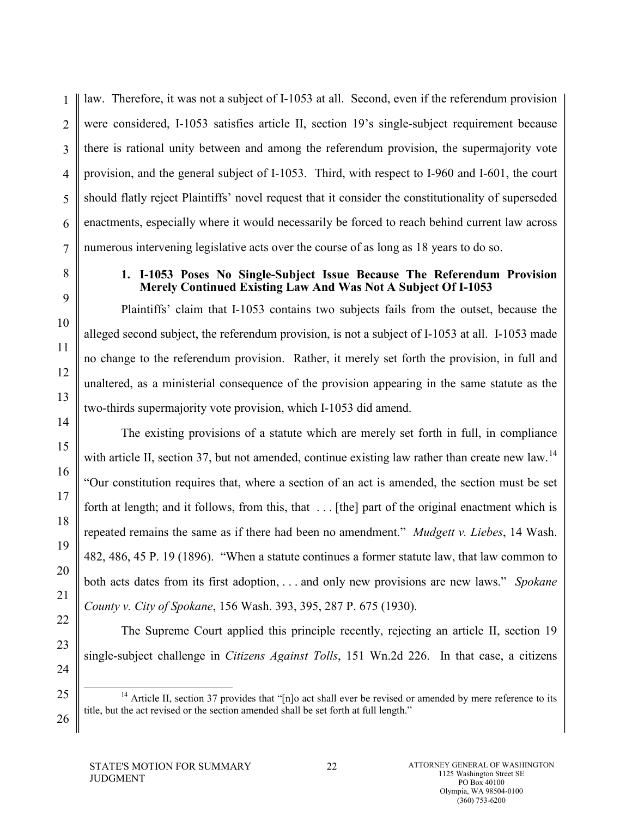1 2 3 4 law. Therefore, it was not a subject of I-1053 at all. Second, even if the referendum provision were considered, I-1053 satisfies article II, section 19's single-subject requirement because there is rational unity between and among the referendum provision, the supermajority vote provision, and the general subject of I-1053. Third, with respect to I-960 and I-601, the court should flatly reject Plaintiffs' novel request that it consider the constitutionality of superseded enactments, especially where it would necessarily be forced to reach behind current law across numerous intervening legislative acts over the course of as long as 18 years to do so.

#### **1. I-1053 Poses No Single-Subject Issue Because The Referendum Provision Merely Continued Existing Law And Was Not A Subject Of I-1053**

Plaintiffs' claim that I-1053 contains two subjects fails from the outset, because the alleged second subject, the referendum provision, is not a subject of I-1053 at all. I-1053 made no change to the referendum provision. Rather, it merely set forth the provision, in full and unaltered, as a ministerial consequence of the provision appearing in the same statute as the two-thirds supermajority vote provision, which I-1053 did amend.

The existing provisions of a statute which are merely set forth in full, in compliance with article II, section 37, but not amended, continue existing law rather than create new law.<sup>[14](#page-34-0)</sup> "Our constitution requires that, where a section of an act is amended, the section must be set forth at length; and it follows, from this, that . . . [the] part of the original enactment which is repeated remains the same as if there had been no amendment." *Mudgett v. Liebes*, 14 Wash. 482, 486, 45 P. 19 (1896). "When a statute continues a former statute law, that law common to both acts dates from its first adoption, . . . and only new provisions are new laws." *Spokane County v. City of Spokane*, 156 Wash. 393, 395, 287 P. 675 (1930).

The Supreme Court applied this principle recently, rejecting an article II, section 19 single-subject challenge in *Citizens Against Tolls*, 151 Wn.2d 226. In that case, a citizens

<sup>&</sup>lt;sup>14</sup> Article II, section 37 provides that "[n]o act shall ever be revised or amended by mere reference to its title, but the act revised or the section amended shall be set forth at full length."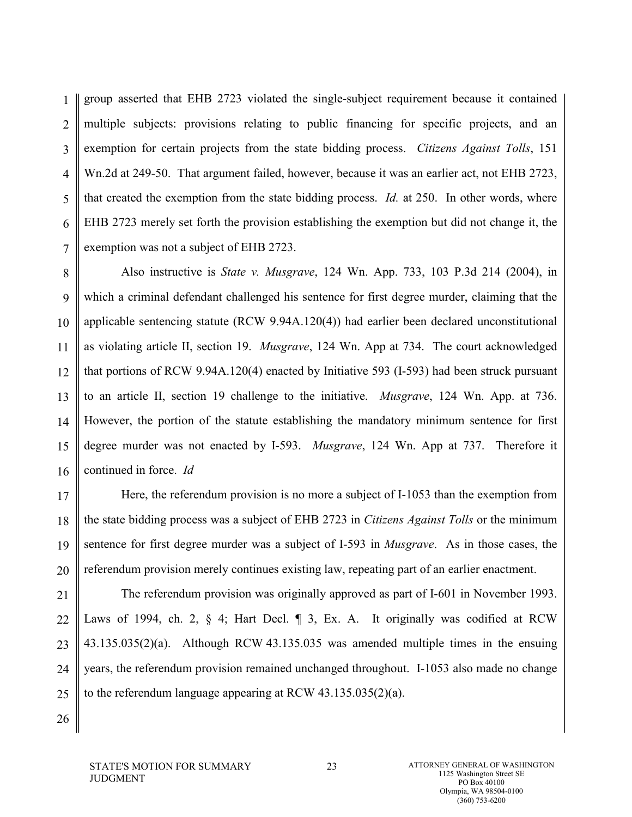1 2 3 4 5 6 7 group asserted that EHB 2723 violated the single-subject requirement because it contained multiple subjects: provisions relating to public financing for specific projects, and an exemption for certain projects from the state bidding process. *Citizens Against Tolls*, 151 Wn.2d at 249-50. That argument failed, however, because it was an earlier act, not EHB 2723, that created the exemption from the state bidding process. *Id.* at 250. In other words, where EHB 2723 merely set forth the provision establishing the exemption but did not change it, the exemption was not a subject of EHB 2723.

8 9 10 11 12 13 14 15 16 Also instructive is *State v. Musgrave*, 124 Wn. App. 733, 103 P.3d 214 (2004), in which a criminal defendant challenged his sentence for first degree murder, claiming that the applicable sentencing statute (RCW 9.94A.120(4)) had earlier been declared unconstitutional as violating article II, section 19. *Musgrave*, 124 Wn. App at 734. The court acknowledged that portions of RCW 9.94A.120(4) enacted by Initiative 593 (I-593) had been struck pursuant to an article II, section 19 challenge to the initiative. *Musgrave*, 124 Wn. App. at 736. However, the portion of the statute establishing the mandatory minimum sentence for first degree murder was not enacted by I-593. *Musgrave*, 124 Wn. App at 737. Therefore it continued in force. *Id*

17 18 19 20 Here, the referendum provision is no more a subject of I-1053 than the exemption from the state bidding process was a subject of EHB 2723 in *Citizens Against Tolls* or the minimum sentence for first degree murder was a subject of I-593 in *Musgrave*. As in those cases, the referendum provision merely continues existing law, repeating part of an earlier enactment.

<span id="page-30-0"></span>21 22 23 24 25 The referendum provision was originally approved as part of I-601 in November 1993. Laws of 1994, ch. 2, § 4; Hart Decl. ¶ 3, Ex. A. It originally was codified at RCW 43.135.035(2)(a). Although RCW 43.135.035 was amended multiple times in the ensuing years, the referendum provision remained unchanged throughout. I-1053 also made no change to the referendum language appearing at RCW 43.135.035(2)(a).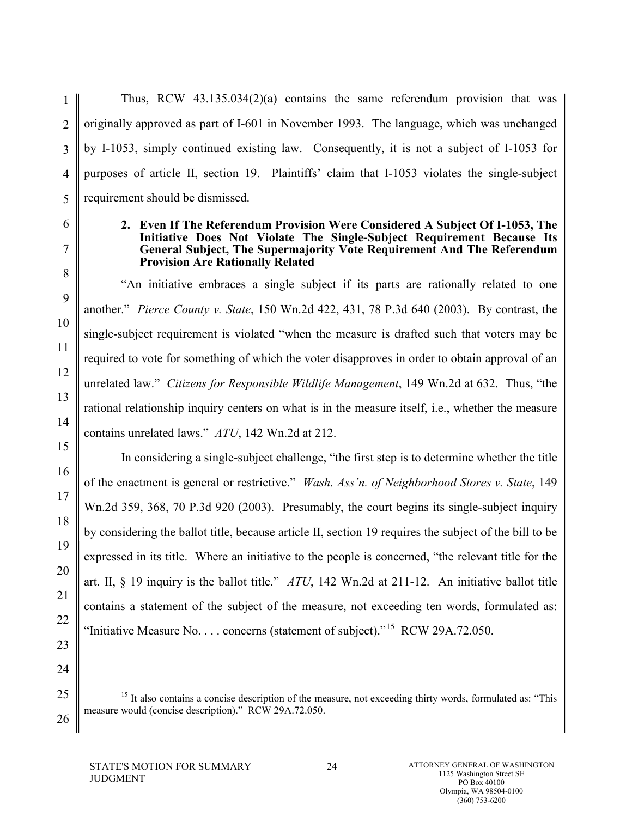Thus, RCW 43.135.034(2)(a) contains the same referendum provision that was originally approved as part of I-601 in November 1993. The language, which was unchanged by I-1053, simply continued existing law. Consequently, it is not a subject of I-1053 for purposes of article II, section 19. Plaintiffs' claim that I-1053 violates the single-subject requirement should be dismissed.

#### **2. Even If The Referendum Provision Were Considered A Subject Of I-1053, The Initiative Does Not Violate The Single-Subject Requirement Because Its General Subject, The Supermajority Vote Requirement And The Referendum Provision Are Rationally Related**

"An initiative embraces a single subject if its parts are rationally related to one another." *Pierce County v. State*, 150 Wn.2d 422, 431, 78 P.3d 640 (2003). By contrast, the single-subject requirement is violated "when the measure is drafted such that voters may be required to vote for something of which the voter disapproves in order to obtain approval of an unrelated law." *Citizens for Responsible Wildlife Management*, 149 Wn.2d at 632. Thus, "the rational relationship inquiry centers on what is in the measure itself, i.e., whether the measure contains unrelated laws." *ATU*, 142 Wn.2d at 212.

In considering a single-subject challenge, "the first step is to determine whether the title of the enactment is general or restrictive." *Wash. Ass'n. of Neighborhood Stores v. State*, 149 Wn.2d 359, 368, 70 P.3d 920 (2003). Presumably, the court begins its single-subject inquiry by considering the ballot title, because article II, section 19 requires the subject of the bill to be expressed in its title. Where an initiative to the people is concerned, "the relevant title for the art. II, § 19 inquiry is the ballot title." *ATU*, 142 Wn.2d at 211-12. An initiative ballot title contains a statement of the subject of the measure, not exceeding ten words, formulated as: "Initiative Measure No. . . . concerns (statement of subject)."<sup>[15](#page-36-0)</sup> RCW 29A.72.050.

<sup>15</sup> It also contains a concise description of the measure, not exceeding thirty words, formulated as: "This measure would (concise description)." RCW 29A.72.050.

<span id="page-31-1"></span><span id="page-31-0"></span>25

26

1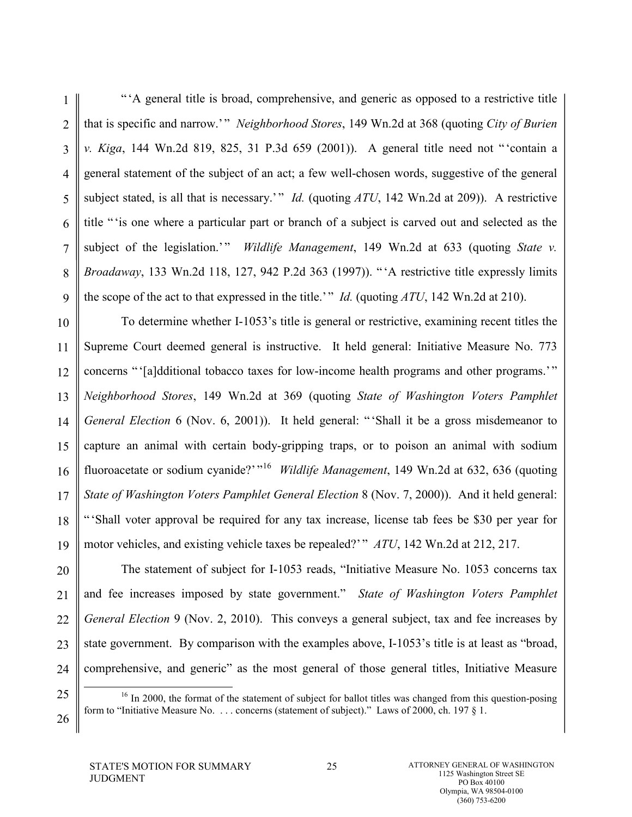1 2 3 4 5 6 7 8 9 " 'A general title is broad, comprehensive, and generic as opposed to a restrictive title that is specific and narrow.'" *Neighborhood Stores*, 149 Wn.2d at 368 (quoting *City of Burien*) *v. Kiga*, 144 Wn.2d 819, 825, 31 P.3d 659 (2001)). A general title need not " 'contain a general statement of the subject of an act; a few well-chosen words, suggestive of the general subject stated, is all that is necessary.'" *Id.* (quoting *ATU*, 142 Wn.2d at 209)). A restrictive title " 'is one where a particular part or branch of a subject is carved out and selected as the subject of the legislation.'" *Wildlife Management*, 149 Wn.2d at 633 (quoting *State v. Broadaway*, 133 Wn.2d 118, 127, 942 P.2d 363 (1997)). " 'A restrictive title expressly limits the scope of the act to that expressed in the title.' " *Id.* (quoting *ATU*, 142 Wn.2d at 210).

10 11 12 13 14 15 16 17 18 19 To determine whether I-1053's title is general or restrictive, examining recent titles the Supreme Court deemed general is instructive. It held general: Initiative Measure No. 773 concerns " '[a]dditional tobacco taxes for low-income health programs and other programs.'" *Neighborhood Stores*, 149 Wn.2d at 369 (quoting *State of Washington Voters Pamphlet General Election* 6 (Nov. 6, 2001)). It held general: " 'Shall it be a gross misdemeanor to capture an animal with certain body-gripping traps, or to poison an animal with sodium fluoroacetate or sodium cyanide?'<sup>"[16](#page-37-0)</sup> *Wildlife Management*, 149 Wn.2d at 632, 636 (quoting *State of Washington Voters Pamphlet General Election* 8 (Nov. 7, 2000)). And it held general: " 'Shall voter approval be required for any tax increase, license tab fees be \$30 per year for motor vehicles, and existing vehicle taxes be repealed?' " *ATU*, 142 Wn.2d at 212, 217.

20 21 22 23 24 The statement of subject for I-1053 reads, "Initiative Measure No. 1053 concerns tax and fee increases imposed by state government." *State of Washington Voters Pamphlet General Election* 9 (Nov. 2, 2010). This conveys a general subject, tax and fee increases by state government. By comparison with the examples above, I-1053's title is at least as "broad, comprehensive, and generic" as the most general of those general titles, Initiative Measure

<span id="page-32-0"></span>25

<sup>&</sup>lt;sup>16</sup> In 2000, the format of the statement of subject for ballot titles was changed from this question-posing form to "Initiative Measure No. . . . concerns (statement of subject)." Laws of 2000, ch. 197 § 1.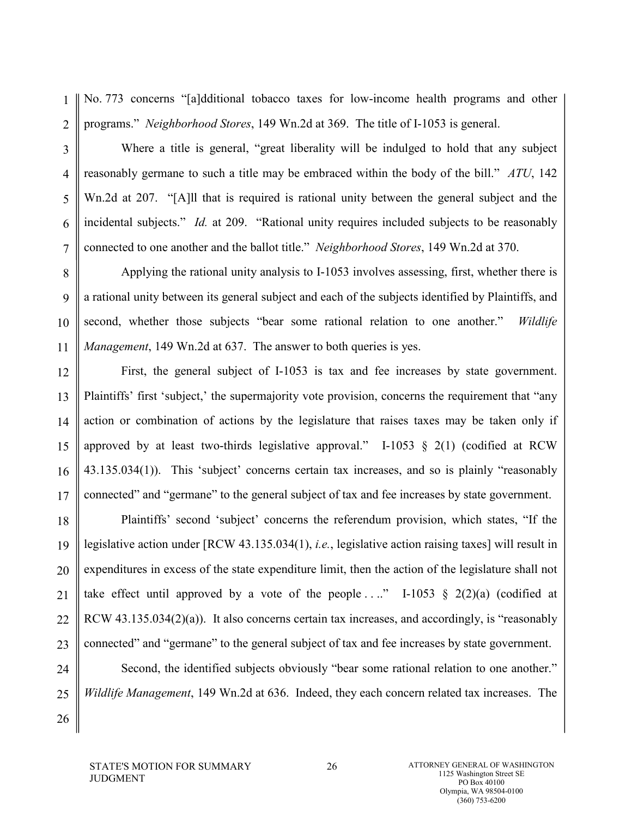1 2 No. 773 concerns "[a]dditional tobacco taxes for low-income health programs and other programs." *Neighborhood Stores*, 149 Wn.2d at 369. The title of I-1053 is general.

6

7

26

3

4

5

Where a title is general, "great liberality will be indulged to hold that any subject reasonably germane to such a title may be embraced within the body of the bill." *ATU*, 142 Wn.2d at 207. "[A]ll that is required is rational unity between the general subject and the incidental subjects." *Id.* at 209. "Rational unity requires included subjects to be reasonably connected to one another and the ballot title." *Neighborhood Stores*, 149 Wn.2d at 370.

8 9 10 11 Applying the rational unity analysis to I-1053 involves assessing, first, whether there is a rational unity between its general subject and each of the subjects identified by Plaintiffs, and second, whether those subjects "bear some rational relation to one another." *Wildlife Management*, 149 Wn.2d at 637. The answer to both queries is yes.

12 13 14 15 16 17 First, the general subject of I-1053 is tax and fee increases by state government. Plaintiffs' first 'subject,' the supermajority vote provision, concerns the requirement that "any action or combination of actions by the legislature that raises taxes may be taken only if approved by at least two-thirds legislative approval." I-1053  $\S$  2(1) (codified at RCW 43.135.034(1)). This 'subject' concerns certain tax increases, and so is plainly "reasonably connected" and "germane" to the general subject of tax and fee increases by state government.

18 19 20 21 22 23 Plaintiffs' second 'subject' concerns the referendum provision, which states, "If the legislative action under [RCW 43.135.034(1), *i.e.*, legislative action raising taxes] will result in expenditures in excess of the state expenditure limit, then the action of the legislature shall not take effect until approved by a vote of the people ...." I-1053 § 2(2)(a) (codified at RCW 43.135.034(2)(a)). It also concerns certain tax increases, and accordingly, is "reasonably connected" and "germane" to the general subject of tax and fee increases by state government.

24 25 Second, the identified subjects obviously "bear some rational relation to one another." *Wildlife Management*, 149 Wn.2d at 636. Indeed, they each concern related tax increases. The

STATE'S MOTION FOR SUMMARY JUDGMENT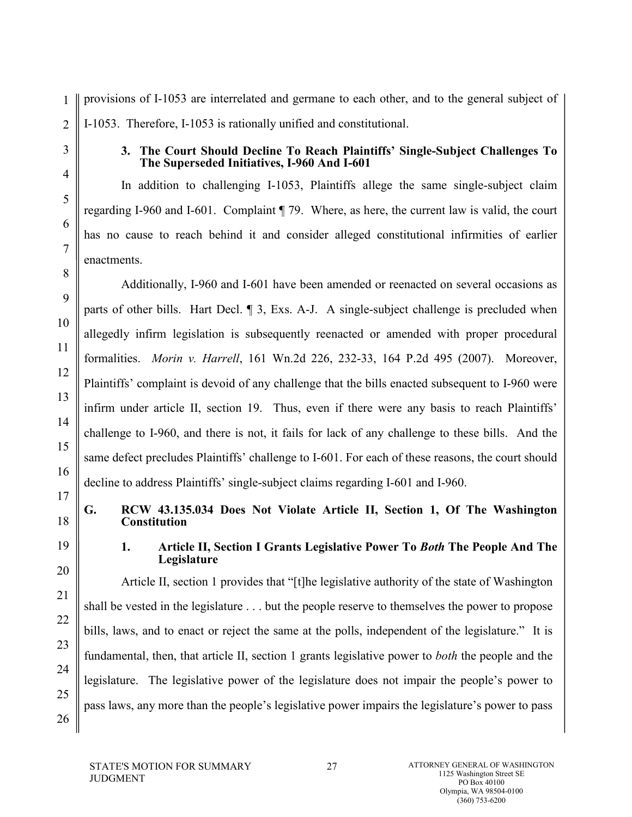1 2 provisions of I-1053 are interrelated and germane to each other, and to the general subject of I-1053. Therefore, I-1053 is rationally unified and constitutional.

3

4

5

6

7

8

9

10

11

12

13

14

15

16

#### **3. The Court Should Decline To Reach Plaintiffs' Single-Subject Challenges To The Superseded Initiatives, I-960 And I-601**

In addition to challenging I-1053, Plaintiffs allege the same single-subject claim regarding I-960 and I-601. Complaint ¶ 79. Where, as here, the current law is valid, the court has no cause to reach behind it and consider alleged constitutional infirmities of earlier enactments.

Additionally, I-960 and I-601 have been amended or reenacted on several occasions as parts of other bills. Hart Decl. ¶ 3, Exs. A-J. A single-subject challenge is precluded when allegedly infirm legislation is subsequently reenacted or amended with proper procedural formalities. *Morin v. Harrell*, 161 Wn.2d 226, 232-33, 164 P.2d 495 (2007). Moreover, Plaintiffs' complaint is devoid of any challenge that the bills enacted subsequent to I-960 were infirm under article II, section 19. Thus, even if there were any basis to reach Plaintiffs' challenge to I-960, and there is not, it fails for lack of any challenge to these bills. And the same defect precludes Plaintiffs' challenge to I-601. For each of these reasons, the court should decline to address Plaintiffs' single-subject claims regarding I-601 and I-960.

17 18

19

20

21

22

23

24

<span id="page-34-0"></span>25

26

## **G. RCW 43.135.034 Does Not Violate Article II, Section 1, Of The Washington Constitution**

**1. Article II, Section I Grants Legislative Power To** *Both* **The People And The Legislature**

Article II, section 1 provides that "[t]he legislative authority of the state of Washington shall be vested in the legislature . . . but the people reserve to themselves the power to propose bills, laws, and to enact or reject the same at the polls, independent of the legislature." It is fundamental, then, that article II, section 1 grants legislative power to *both* the people and the legislature. The legislative power of the legislature does not impair the people's power to pass laws, any more than the people's legislative power impairs the legislature's power to pass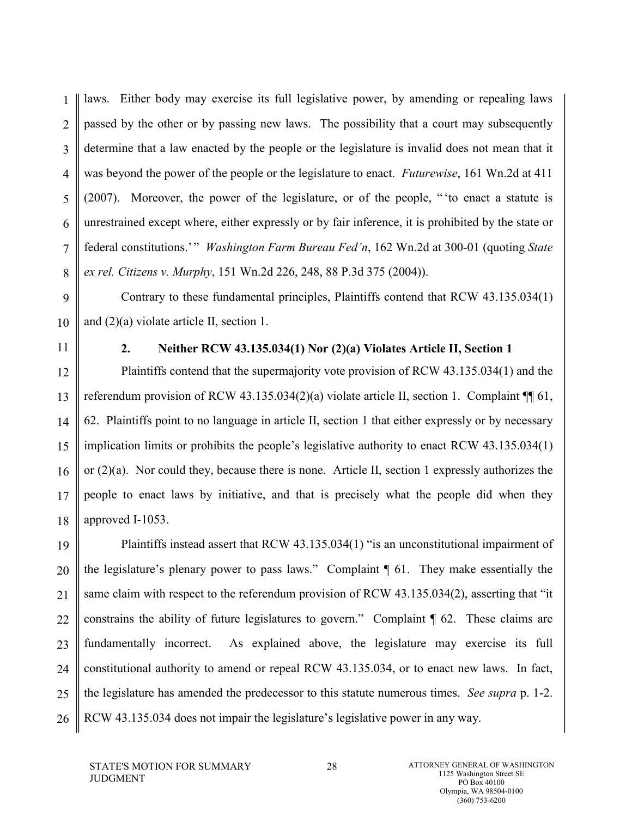1 2 3 4 5 6 7 8 laws. Either body may exercise its full legislative power, by amending or repealing laws passed by the other or by passing new laws. The possibility that a court may subsequently determine that a law enacted by the people or the legislature is invalid does not mean that it was beyond the power of the people or the legislature to enact. *Futurewise*, 161 Wn.2d at 411 (2007). Moreover, the power of the legislature, or of the people, " 'to enact a statute is unrestrained except where, either expressly or by fair inference, it is prohibited by the state or federal constitutions.' " *Washington Farm Bureau Fed'n*, 162 Wn.2d at 300-01 (quoting *State ex rel. Citizens v. Murphy*, 151 Wn.2d 226, 248, 88 P.3d 375 (2004)).

9 10 Contrary to these fundamental principles, Plaintiffs contend that RCW 43.135.034(1) and (2)(a) violate article II, section 1.

11

#### **2. Neither RCW 43.135.034(1) Nor (2)(a) Violates Article II, Section 1**

12 13 14 15 16 17 18 Plaintiffs contend that the supermajority vote provision of RCW 43.135.034(1) and the referendum provision of RCW 43.135.034(2)(a) violate article II, section 1. Complaint ¶¶ 61, 62. Plaintiffs point to no language in article II, section 1 that either expressly or by necessary implication limits or prohibits the people's legislative authority to enact RCW 43.135.034(1) or (2)(a). Nor could they, because there is none. Article II, section 1 expressly authorizes the people to enact laws by initiative, and that is precisely what the people did when they approved I-1053.

19 20 21 22 23 24 25 26 Plaintiffs instead assert that RCW 43.135.034(1) "is an unconstitutional impairment of the legislature's plenary power to pass laws." Complaint ¶ 61. They make essentially the same claim with respect to the referendum provision of RCW 43.135.034(2), asserting that "it constrains the ability of future legislatures to govern." Complaint ¶ 62. These claims are fundamentally incorrect. As explained above, the legislature may exercise its full constitutional authority to amend or repeal RCW 43.135.034, or to enact new laws. In fact, the legislature has amended the predecessor to this statute numerous times. *See supra* p. 1-2. RCW 43.135.034 does not impair the legislature's legislative power in any way.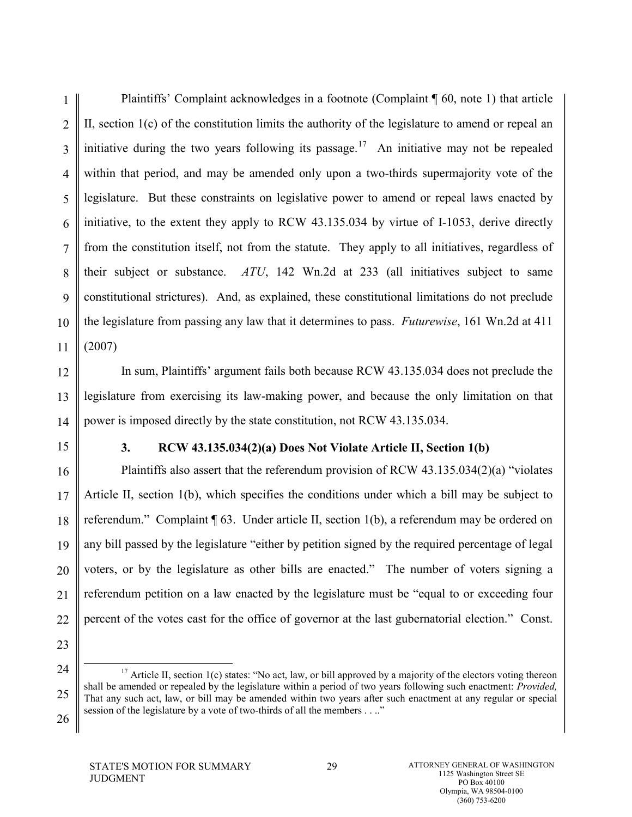1 2 3 4 5 6 7 8 9 10 11 Plaintiffs' Complaint acknowledges in a footnote (Complaint ¶ 60, note 1) that article II, section 1(c) of the constitution limits the authority of the legislature to amend or repeal an initiative during the two years following its passage.<sup>[17](#page-41-0)</sup> An initiative may not be repealed within that period, and may be amended only upon a two-thirds supermajority vote of the legislature. But these constraints on legislative power to amend or repeal laws enacted by initiative, to the extent they apply to RCW 43.135.034 by virtue of I-1053, derive directly from the constitution itself, not from the statute. They apply to all initiatives, regardless of their subject or substance. *ATU*, 142 Wn.2d at 233 (all initiatives subject to same constitutional strictures). And, as explained, these constitutional limitations do not preclude the legislature from passing any law that it determines to pass. *Futurewise*, 161 Wn.2d at 411 (2007)

12 13 14 In sum, Plaintiffs' argument fails both because RCW 43.135.034 does not preclude the legislature from exercising its law-making power, and because the only limitation on that power is imposed directly by the state constitution, not RCW 43.135.034.

15

#### **3. RCW 43.135.034(2)(a) Does Not Violate Article II, Section 1(b)**

16 17 18 19 20 21 22 Plaintiffs also assert that the referendum provision of RCW 43.135.034(2)(a) "violates Article II, section 1(b), which specifies the conditions under which a bill may be subject to referendum." Complaint ¶ 63. Under article II, section 1(b), a referendum may be ordered on any bill passed by the legislature "either by petition signed by the required percentage of legal voters, or by the legislature as other bills are enacted." The number of voters signing a referendum petition on a law enacted by the legislature must be "equal to or exceeding four percent of the votes cast for the office of governor at the last gubernatorial election." Const.

<span id="page-36-0"></span><sup>24</sup> 25 <sup>17</sup> Article II, section 1(c) states: "No act, law, or bill approved by a majority of the electors voting thereon shall be amended or repealed by the legislature within a period of two years following such enactment: *Provided,* That any such act, law, or bill may be amended within two years after such enactment at any regular or special session of the legislature by a vote of two-thirds of all the members . . .."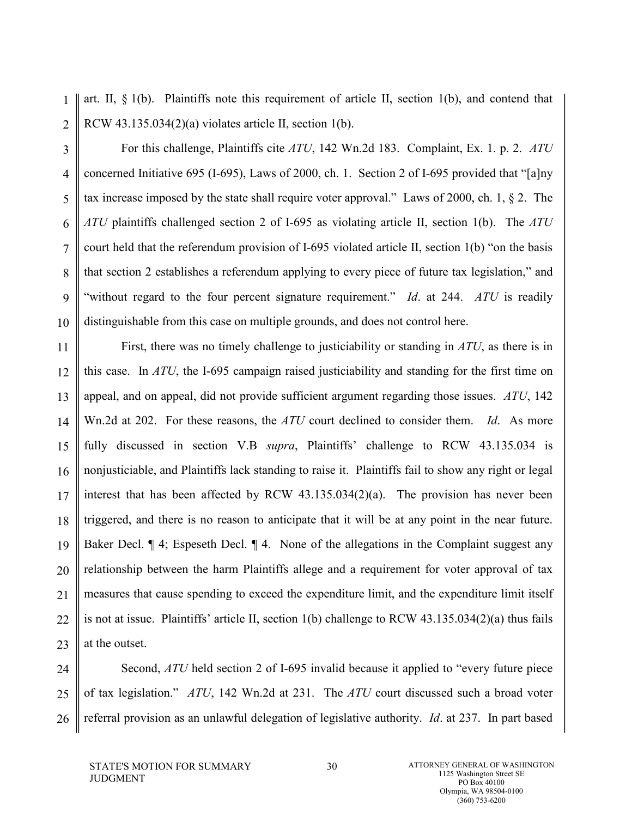1 2 art. II,  $\S$  1(b). Plaintiffs note this requirement of article II, section 1(b), and contend that RCW  $43.135.034(2)(a)$  violates article II, section 1(b).

3 4 5 6 7 8 9 10 For this challenge, Plaintiffs cite *ATU*, 142 Wn.2d 183. Complaint, Ex. 1. p. 2. *ATU* concerned Initiative 695 (I-695), Laws of 2000, ch. 1. Section 2 of I-695 provided that "[a]ny tax increase imposed by the state shall require voter approval." Laws of 2000, ch. 1, § 2. The *ATU* plaintiffs challenged section 2 of I-695 as violating article II, section 1(b). The *ATU* court held that the referendum provision of I-695 violated article II, section 1(b) "on the basis that section 2 establishes a referendum applying to every piece of future tax legislation," and "without regard to the four percent signature requirement." *Id*. at 244. *ATU* is readily distinguishable from this case on multiple grounds, and does not control here.

11 12 13 14 15 16 17 18 19 20 21 22 23 First, there was no timely challenge to justiciability or standing in *ATU*, as there is in this case. In *ATU*, the I-695 campaign raised justiciability and standing for the first time on appeal, and on appeal, did not provide sufficient argument regarding those issues. *ATU*, 142 Wn.2d at 202. For these reasons, the *ATU* court declined to consider them. *Id*. As more fully discussed in section V.B *supra*, Plaintiffs' challenge to RCW 43.135.034 is nonjusticiable, and Plaintiffs lack standing to raise it. Plaintiffs fail to show any right or legal interest that has been affected by RCW 43.135.034(2)(a). The provision has never been triggered, and there is no reason to anticipate that it will be at any point in the near future. Baker Decl.  $\P$  4; Espeseth Decl.  $\P$  4. None of the allegations in the Complaint suggest any relationship between the harm Plaintiffs allege and a requirement for voter approval of tax measures that cause spending to exceed the expenditure limit, and the expenditure limit itself is not at issue. Plaintiffs' article II, section 1(b) challenge to RCW  $43.135.034(2)(a)$  thus fails at the outset.

<span id="page-37-0"></span>24 25 26 Second, *ATU* held section 2 of I-695 invalid because it applied to "every future piece" of tax legislation." *ATU*, 142 Wn.2d at 231. The *ATU* court discussed such a broad voter referral provision as an unlawful delegation of legislative authority. *Id*. at 237. In part based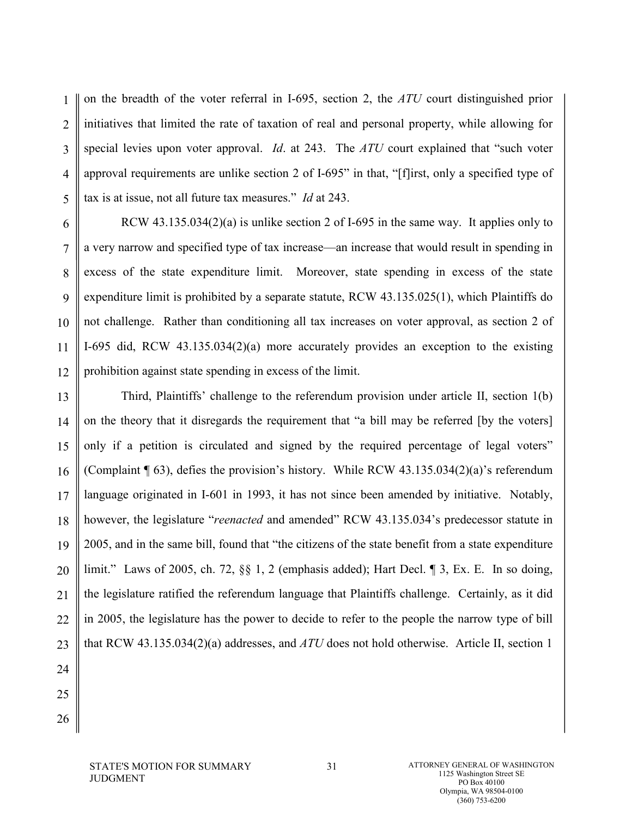1 2 3 4 5 on the breadth of the voter referral in I-695, section 2, the *ATU* court distinguished prior initiatives that limited the rate of taxation of real and personal property, while allowing for special levies upon voter approval. *Id*. at 243. The *ATU* court explained that "such voter approval requirements are unlike section 2 of I-695" in that, "[f]irst, only a specified type of tax is at issue, not all future tax measures." *Id* at 243.

6 7 8 9 10 11 12 RCW 43.135.034(2)(a) is unlike section 2 of I-695 in the same way. It applies only to a very narrow and specified type of tax increase—an increase that would result in spending in excess of the state expenditure limit. Moreover, state spending in excess of the state expenditure limit is prohibited by a separate statute, RCW 43.135.025(1), which Plaintiffs do not challenge. Rather than conditioning all tax increases on voter approval, as section 2 of I-695 did, RCW 43.135.034(2)(a) more accurately provides an exception to the existing prohibition against state spending in excess of the limit.

13 14 15 16 17 18 19 20 21 22 23 Third, Plaintiffs' challenge to the referendum provision under article II, section 1(b) on the theory that it disregards the requirement that "a bill may be referred [by the voters] only if a petition is circulated and signed by the required percentage of legal voters" (Complaint ¶ 63), defies the provision's history. While RCW 43.135.034(2)(a)'s referendum language originated in I-601 in 1993, it has not since been amended by initiative. Notably, however, the legislature "*reenacted* and amended" RCW 43.135.034's predecessor statute in 2005, and in the same bill, found that "the citizens of the state benefit from a state expenditure limit." Laws of 2005, ch. 72, §§ 1, 2 (emphasis added); Hart Decl. ¶ 3, Ex. E. In so doing, the legislature ratified the referendum language that Plaintiffs challenge. Certainly, as it did in 2005, the legislature has the power to decide to refer to the people the narrow type of bill that RCW 43.135.034(2)(a) addresses, and *ATU* does not hold otherwise. Article II, section 1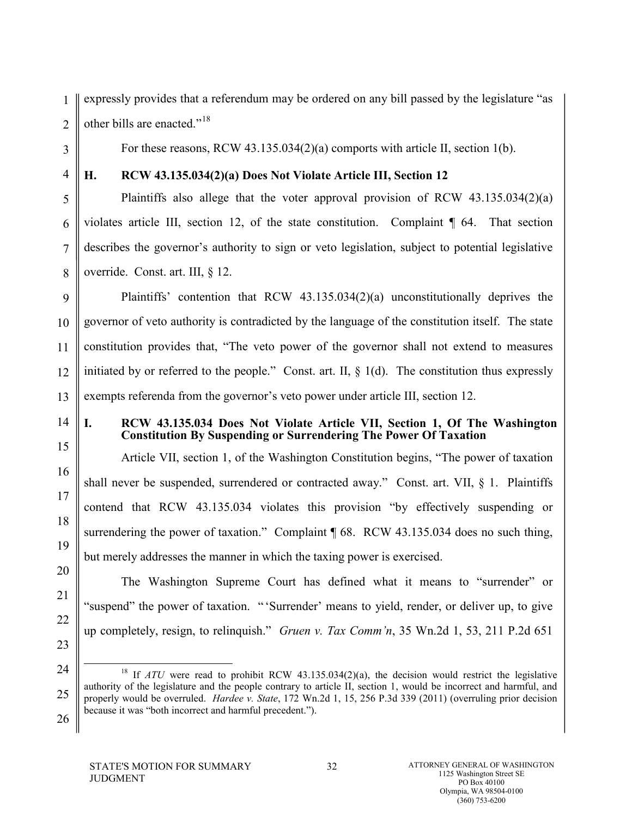1 2 expressly provides that a referendum may be ordered on any bill passed by the legislature "as other bills are enacted."[18](#page-43-0)

For these reasons, RCW 43.135.034(2)(a) comports with article II, section 1(b).

3 4

5

6

7

8

15

16

17

18

19

20

21

22

23

### **H. RCW 43.135.034(2)(a) Does Not Violate Article III, Section 12**

Plaintiffs also allege that the voter approval provision of RCW  $43.135.034(2)(a)$ violates article III, section 12, of the state constitution. Complaint ¶ 64. That section describes the governor's authority to sign or veto legislation, subject to potential legislative override. Const. art. III, § 12.

9 10 11 12 13 Plaintiffs' contention that RCW 43.135.034(2)(a) unconstitutionally deprives the governor of veto authority is contradicted by the language of the constitution itself. The state constitution provides that, "The veto power of the governor shall not extend to measures initiated by or referred to the people." Const. art. II, § 1(d). The constitution thus expressly exempts referenda from the governor's veto power under article III, section 12.

14

### **I. RCW 43.135.034 Does Not Violate Article VII, Section 1, Of The Washington Constitution By Suspending or Surrendering The Power Of Taxation**

Article VII, section 1, of the Washington Constitution begins, "The power of taxation shall never be suspended, surrendered or contracted away." Const. art. VII, § 1. Plaintiffs contend that RCW 43.135.034 violates this provision "by effectively suspending or surrendering the power of taxation." Complaint [68. RCW 43.135.034 does no such thing, but merely addresses the manner in which the taxing power is exercised.

The Washington Supreme Court has defined what it means to "surrender" or "suspend" the power of taxation. " 'Surrender' means to yield, render, or deliver up, to give up completely, resign, to relinquish." *Gruen v. Tax Comm'n*, 35 Wn.2d 1, 53, 211 P.2d 651

<sup>24</sup> 25 26 <sup>18</sup> If *ATU* were read to prohibit RCW 43.135.034(2)(a), the decision would restrict the legislative authority of the legislature and the people contrary to article II, section 1, would be incorrect and harmful, and properly would be overruled. *Hardee v. State*, 172 Wn.2d 1, 15, 256 P.3d 339 (2011) (overruling prior decision because it was "both incorrect and harmful precedent.").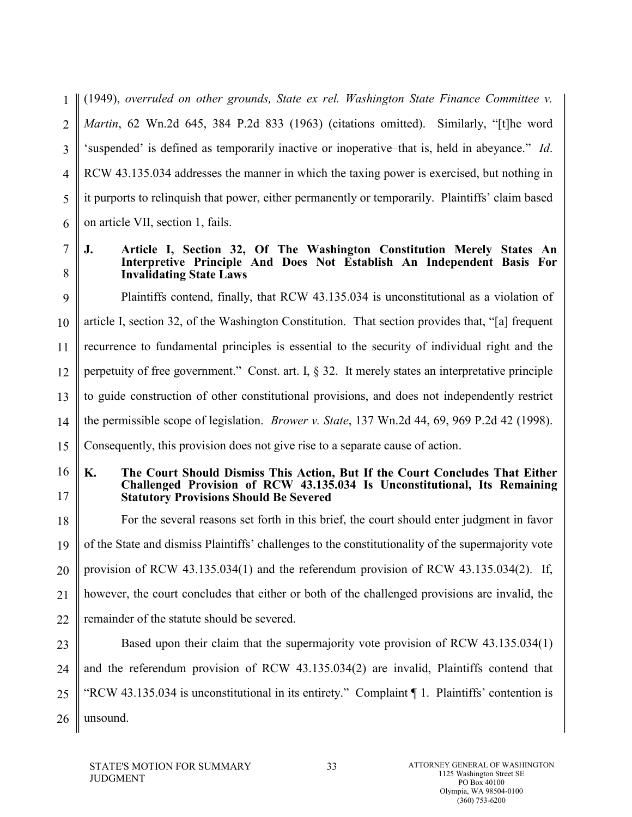1 2 3 4 5 6 (1949), *overruled on other grounds, State ex rel. Washington State Finance Committee v. Martin*, 62 Wn.2d 645, 384 P.2d 833 (1963) (citations omitted). Similarly, "[t]he word 'suspended' is defined as temporarily inactive or inoperative–that is, held in abeyance." *Id*. RCW 43.135.034 addresses the manner in which the taxing power is exercised, but nothing in it purports to relinquish that power, either permanently or temporarily. Plaintiffs' claim based on article VII, section 1, fails.

7 8

#### **J. Article I, Section 32, Of The Washington Constitution Merely States An Interpretive Principle And Does Not Establish An Independent Basis For Invalidating State Laws**

9 10 11 12 13 14 15 Plaintiffs contend, finally, that RCW 43.135.034 is unconstitutional as a violation of article I, section 32, of the Washington Constitution. That section provides that, "[a] frequent recurrence to fundamental principles is essential to the security of individual right and the perpetuity of free government." Const. art. I, § 32. It merely states an interpretative principle to guide construction of other constitutional provisions, and does not independently restrict the permissible scope of legislation. *Brower v. State*, 137 Wn.2d 44, 69, 969 P.2d 42 (1998). Consequently, this provision does not give rise to a separate cause of action.

#### 16 17 **K. The Court Should Dismiss This Action, But If the Court Concludes That Either Challenged Provision of RCW 43.135.034 Is Unconstitutional, Its Remaining Statutory Provisions Should Be Severed**

18 19 20 21 22 For the several reasons set forth in this brief, the court should enter judgment in favor of the State and dismiss Plaintiffs' challenges to the constitutionality of the supermajority vote provision of RCW 43.135.034(1) and the referendum provision of RCW 43.135.034(2). If, however, the court concludes that either or both of the challenged provisions are invalid, the remainder of the statute should be severed.

23 24 25 26 Based upon their claim that the supermajority vote provision of RCW 43.135.034(1) and the referendum provision of RCW 43.135.034(2) are invalid, Plaintiffs contend that "RCW 43.135.034 is unconstitutional in its entirety." Complaint ¶ 1. Plaintiffs' contention is unsound.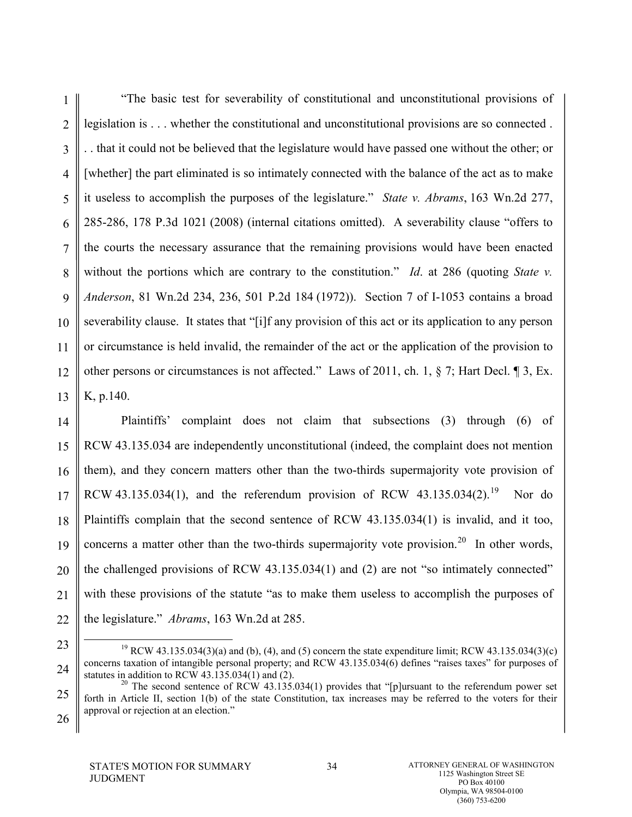1 2 3 4 5 6 7 8 9 10 11 12 13 "The basic test for severability of constitutional and unconstitutional provisions of legislation is . . . whether the constitutional and unconstitutional provisions are so connected . . . that it could not be believed that the legislature would have passed one without the other; or [whether] the part eliminated is so intimately connected with the balance of the act as to make it useless to accomplish the purposes of the legislature." *State v. Abrams*, 163 Wn.2d 277, 285-286, 178 P.3d 1021 (2008) (internal citations omitted). A severability clause "offers to the courts the necessary assurance that the remaining provisions would have been enacted without the portions which are contrary to the constitution." *Id.* at 286 (quoting *State v. Anderson*, 81 Wn.2d 234, 236, 501 P.2d 184 (1972)). Section 7 of I-1053 contains a broad severability clause. It states that "[i]f any provision of this act or its application to any person or circumstance is held invalid, the remainder of the act or the application of the provision to other persons or circumstances is not affected." Laws of 2011, ch. 1, § 7; Hart Decl. ¶ 3, Ex. K, p.140.

14 15 16 17 18 19 20 21 22 Plaintiffs' complaint does not claim that subsections (3) through (6) of RCW 43.135.034 are independently unconstitutional (indeed, the complaint does not mention them), and they concern matters other than the two-thirds supermajority vote provision of RCW 43.135.034(1), and the referendum provision of RCW 43.135.034(2).<sup>19</sup> Nor do Plaintiffs complain that the second sentence of RCW 43.135.034(1) is invalid, and it too, concerns a matter other than the two-thirds supermajority vote provision.<sup>[20](#page-43-2)</sup> In other words, the challenged provisions of RCW 43.135.034(1) and (2) are not "so intimately connected" with these provisions of the statute "as to make them useless to accomplish the purposes of the legislature." *Abrams*, 163 Wn.2d at 285.

23 24

<sup>&</sup>lt;sup>19</sup> RCW 43.135.034(3)(a) and (b), (4), and (5) concern the state expenditure limit; RCW 43.135.034(3)(c) concerns taxation of intangible personal property; and RCW 43.135.034(6) defines "raises taxes" for purposes of statutes in addition to RCW  $43.135.034(1)$  and  $(2)$ .

<span id="page-41-0"></span><sup>25</sup> <sup>20</sup> The second sentence of RCW 43.135.034(1) provides that "[p]ursuant to the referendum power set forth in Article II, section 1(b) of the state Constitution, tax increases may be referred to the voters for their approval or rejection at an election."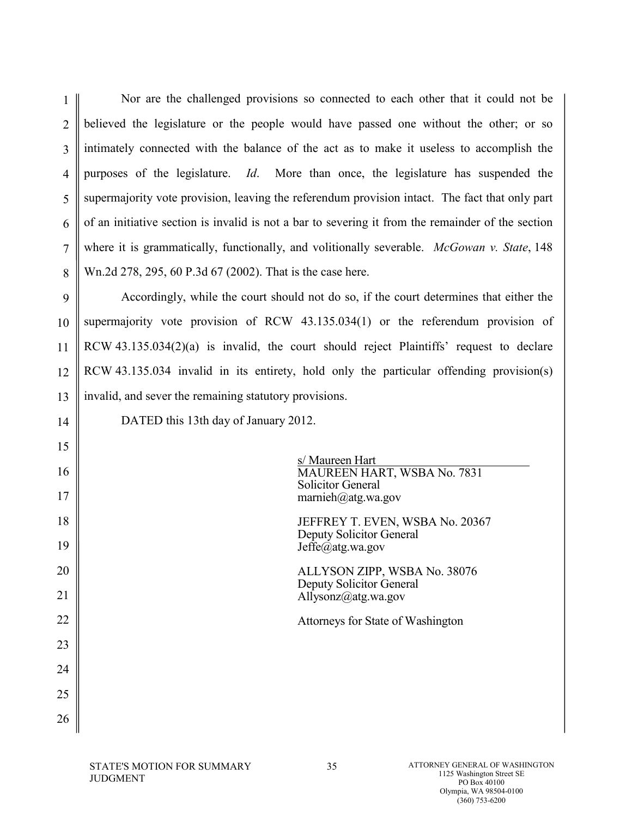1 2 3 4 5 6 7 8 Nor are the challenged provisions so connected to each other that it could not be believed the legislature or the people would have passed one without the other; or so intimately connected with the balance of the act as to make it useless to accomplish the purposes of the legislature. *Id*. More than once, the legislature has suspended the supermajority vote provision, leaving the referendum provision intact. The fact that only part of an initiative section is invalid is not a bar to severing it from the remainder of the section where it is grammatically, functionally, and volitionally severable. *McGowan v. State*, 148 Wn.2d 278, 295, 60 P.3d 67 (2002). That is the case here.

9 10 11 12 13 Accordingly, while the court should not do so, if the court determines that either the supermajority vote provision of RCW 43.135.034(1) or the referendum provision of RCW 43.135.034(2)(a) is invalid, the court should reject Plaintiffs' request to declare RCW 43.135.034 invalid in its entirety, hold only the particular offending provision(s) invalid, and sever the remaining statutory provisions.

14

DATED this 13th day of January 2012.

| 15 |                                                                            |
|----|----------------------------------------------------------------------------|
| 16 | s/ Maureen Hart<br>MAUREEN HART, WSBA No. 7831<br><b>Solicitor General</b> |
| 17 | marnieh@atg.wa.gov                                                         |
| 18 | JEFFREY T. EVEN, WSBA No. 20367<br><b>Deputy Solicitor General</b>         |
| 19 | $Jeffe(\vec{a})$ atg.wa.gov                                                |
| 20 | ALLYSON ZIPP, WSBA No. 38076<br>Deputy Solicitor General                   |
| 21 | Allysonz@atg.wa.gov                                                        |
| 22 | Attorneys for State of Washington                                          |
| 23 |                                                                            |
| 24 |                                                                            |
| 25 |                                                                            |
| 26 |                                                                            |